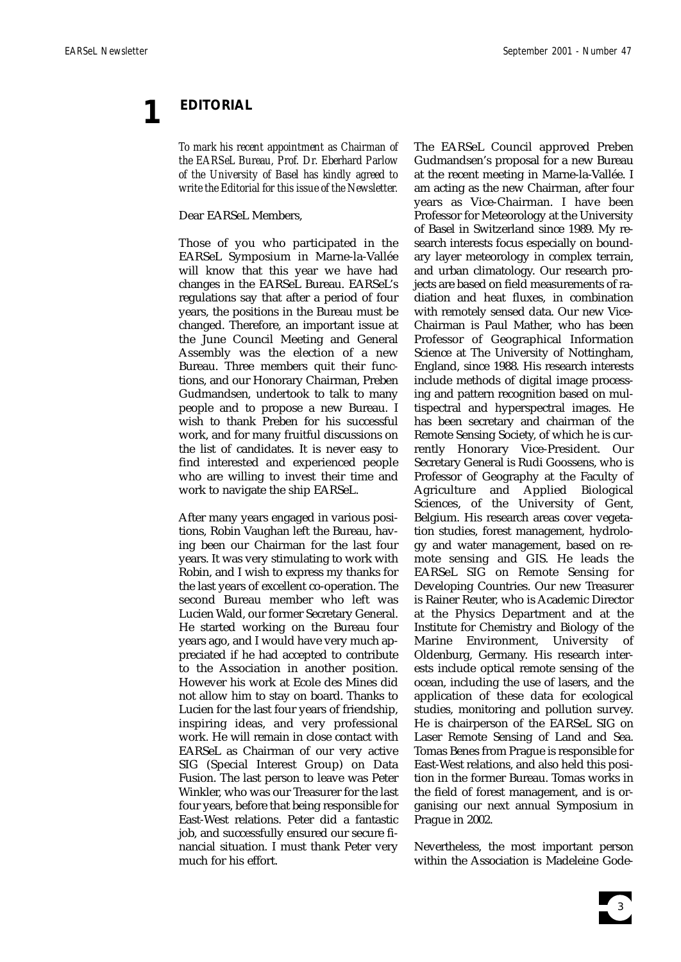# **1 EDITORIAL**

*To mark his recent appointment as Chairman of the EARSeL Bureau, Prof. Dr. Eberhard Parlow of the University of Basel has kindly agreed to write the Editorial for this issue of the Newsletter.* 

Dear EARSeL Members,

Those of you who participated in the EARSeL Symposium in Marne-la-Vallée will know that this year we have had changes in the EARSeL Bureau. EARSeL's regulations say that after a period of four years, the positions in the Bureau must be changed. Therefore, an important issue at the June Council Meeting and General Assembly was the election of a new Bureau. Three members quit their functions, and our Honorary Chairman, Preben Gudmandsen, undertook to talk to many people and to propose a new Bureau. I wish to thank Preben for his successful work, and for many fruitful discussions on the list of candidates. It is never easy to find interested and experienced people who are willing to invest their time and work to navigate the ship EARSeL.

After many years engaged in various positions, Robin Vaughan left the Bureau, having been our Chairman for the last four years. It was very stimulating to work with Robin, and I wish to express my thanks for the last years of excellent co-operation. The second Bureau member who left was Lucien Wald, our former Secretary General. He started working on the Bureau four years ago, and I would have very much appreciated if he had accepted to contribute to the Association in another position. However his work at Ecole des Mines did not allow him to stay on board. Thanks to Lucien for the last four years of friendship, inspiring ideas, and very professional work. He will remain in close contact with EARSeL as Chairman of our very active SIG (Special Interest Group) on Data Fusion. The last person to leave was Peter Winkler, who was our Treasurer for the last four years, before that being responsible for East-West relations. Peter did a fantastic job, and successfully ensured our secure financial situation. I must thank Peter very much for his effort.

The EARSeL Council approved Preben Gudmandsen's proposal for a new Bureau at the recent meeting in Marne-la-Vallée. I am acting as the new Chairman, after four years as Vice-Chairman. I have been Professor for Meteorology at the University of Basel in Switzerland since 1989. My research interests focus especially on boundary layer meteorology in complex terrain, and urban climatology. Our research projects are based on field measurements of radiation and heat fluxes, in combination with remotely sensed data. Our new Vice-Chairman is Paul Mather, who has been Professor of Geographical Information Science at The University of Nottingham, England, since 1988. His research interests include methods of digital image processing and pattern recognition based on multispectral and hyperspectral images. He has been secretary and chairman of the Remote Sensing Society, of which he is currently Honorary Vice-President. Our Secretary General is Rudi Goossens, who is Professor of Geography at the Faculty of Agriculture and Applied Biological Sciences, of the University of Gent, Belgium. His research areas cover vegetation studies, forest management, hydrology and water management, based on remote sensing and GIS. He leads the EARSeL SIG on Remote Sensing for Developing Countries. Our new Treasurer is Rainer Reuter, who is Academic Director at the Physics Department and at the Institute for Chemistry and Biology of the Marine Environment, University of Oldenburg, Germany. His research interests include optical remote sensing of the ocean, including the use of lasers, and the application of these data for ecological studies, monitoring and pollution survey. He is chairperson of the EARSeL SIG on Laser Remote Sensing of Land and Sea. Tomas Benes from Prague is responsible for East-West relations, and also held this position in the former Bureau. Tomas works in the field of forest management, and is organising our next annual Symposium in Prague in 2002.

Nevertheless, the most important person within the Association is Madeleine Gode-

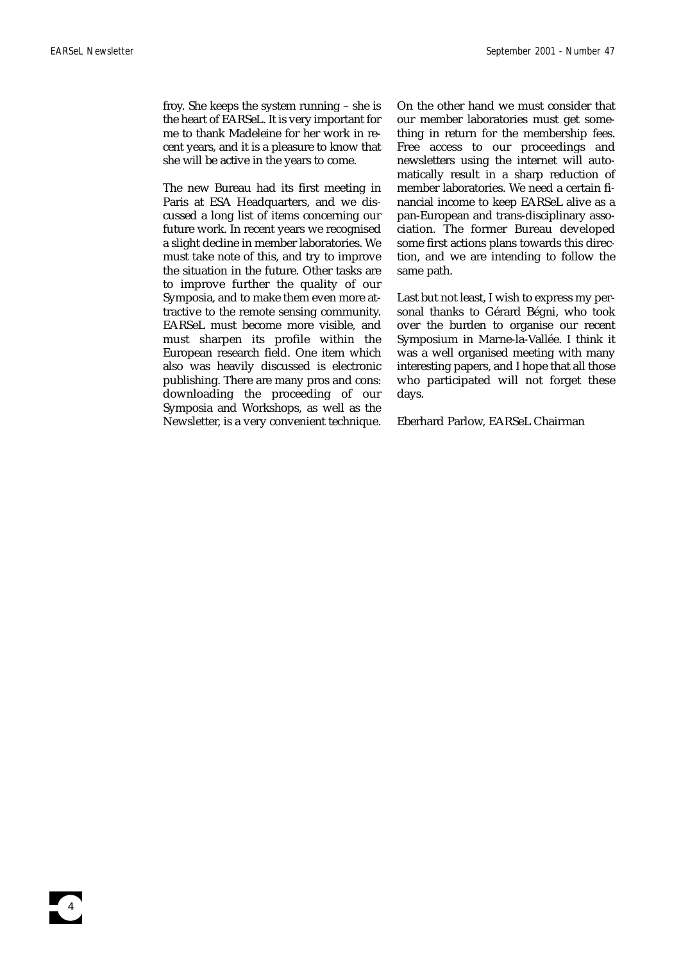froy. She keeps the system running – she is the heart of EARSeL. It is very important for me to thank Madeleine for her work in recent years, and it is a pleasure to know that she will be active in the years to come.

The new Bureau had its first meeting in Paris at ESA Headquarters, and we discussed a long list of items concerning our future work. In recent years we recognised a slight decline in member laboratories. We must take note of this, and try to improve the situation in the future. Other tasks are to improve further the quality of our Symposia, and to make them even more attractive to the remote sensing community. EARSeL must become more visible, and must sharpen its profile within the European research field. One item which also was heavily discussed is electronic publishing. There are many pros and cons: downloading the proceeding of our Symposia and Workshops, as well as the Newsletter, is a very convenient technique.

On the other hand we must consider that our member laboratories must get something in return for the membership fees. Free access to our proceedings and newsletters using the internet will automatically result in a sharp reduction of member laboratories. We need a certain financial income to keep EARSeL alive as a pan-European and trans-disciplinary association. The former Bureau developed some first actions plans towards this direction, and we are intending to follow the same path.

Last but not least, I wish to express my personal thanks to Gérard Bégni, who took over the burden to organise our recent Symposium in Marne-la-Vallée. I think it was a well organised meeting with many interesting papers, and I hope that all those who participated will not forget these days.

Eberhard Parlow, EARSeL Chairman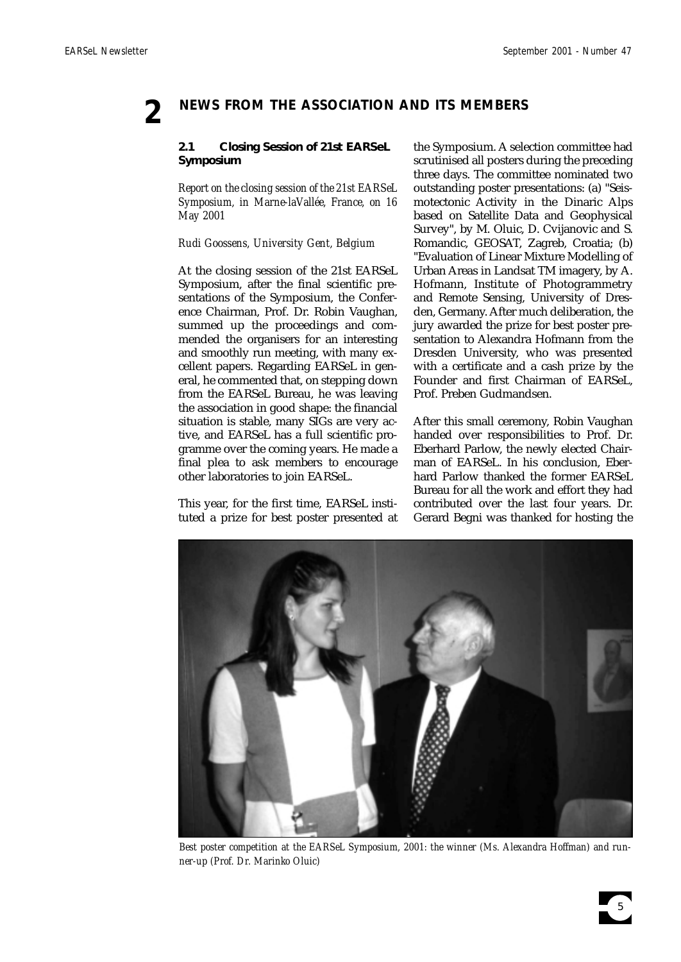# **2 NEWS FROM THE ASSOCIATION AND ITS MEMBERS**

# **2.1 Closing Session of 21st EARSeL Symposium**

*Report on the closing session of the 21st EARSeL Symposium, in Marne-laVallée, France, on 16 May 2001*

# *Rudi Goossens, University Gent, Belgium*

At the closing session of the 21st EARSeL Symposium, after the final scientific presentations of the Symposium, the Conference Chairman, Prof. Dr. Robin Vaughan, summed up the proceedings and commended the organisers for an interesting and smoothly run meeting, with many excellent papers. Regarding EARSeL in general, he commented that, on stepping down from the EARSeL Bureau, he was leaving the association in good shape: the financial situation is stable, many SIGs are very active, and EARSeL has a full scientific programme over the coming years. He made a final plea to ask members to encourage other laboratories to join EARSeL.

This year, for the first time, EARSeL instituted a prize for best poster presented at the Symposium. A selection committee had scrutinised all posters during the preceding three days. The committee nominated two outstanding poster presentations: (a) "Seismotectonic Activity in the Dinaric Alps based on Satellite Data and Geophysical Survey", by M. Oluic, D. Cvijanovic and S. Romandic, GEOSAT, Zagreb, Croatia; (b) "Evaluation of Linear Mixture Modelling of Urban Areas in Landsat TM imagery, by A. Hofmann, Institute of Photogrammetry and Remote Sensing, University of Dresden, Germany. After much deliberation, the jury awarded the prize for best poster presentation to Alexandra Hofmann from the Dresden University, who was presented with a certificate and a cash prize by the Founder and first Chairman of EARSeL, Prof. Preben Gudmandsen.

After this small ceremony, Robin Vaughan handed over responsibilities to Prof. Dr. Eberhard Parlow, the newly elected Chairman of EARSeL. In his conclusion, Eberhard Parlow thanked the former EARSeL Bureau for all the work and effort they had contributed over the last four years. Dr. Gerard Begni was thanked for hosting the



*Best poster competition at the EARSeL Symposium, 2001: the winner (Ms. Alexandra Hoffman) and runner-up (Prof. Dr. Marinko Oluic)*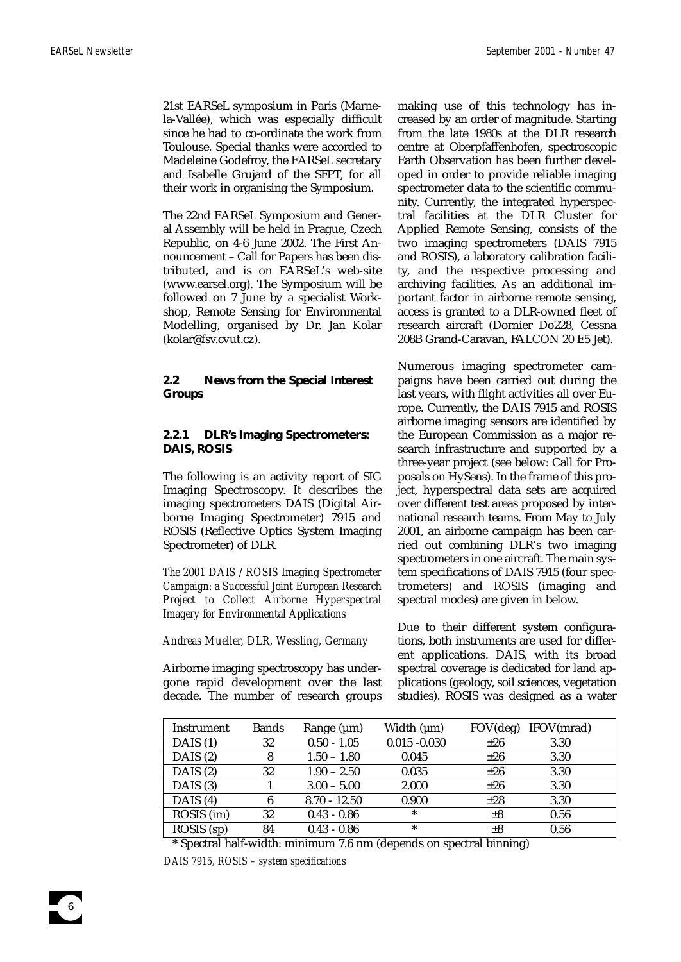21st EARSeL symposium in Paris (Marnela-Vallée), which was especially difficult since he had to co-ordinate the work from Toulouse. Special thanks were accorded to Madeleine Godefroy, the EARSeL secretary and Isabelle Grujard of the SFPT, for all their work in organising the Symposium.

The 22nd EARSeL Symposium and General Assembly will be held in Prague, Czech Republic, on 4-6 June 2002. The First Announcement – Call for Papers has been distributed, and is on EARSeL's web-site (www.earsel.org). The Symposium will be followed on 7 June by a specialist Workshop, Remote Sensing for Environmental Modelling, organised by Dr. Jan Kolar (kolar@fsv.cvut.cz).

**2.2 News from the Special Interest Groups**

# **2.2.1 DLR's Imaging Spectrometers: DAIS, ROSIS**

The following is an activity report of SIG Imaging Spectroscopy. It describes the imaging spectrometers DAIS (Digital Airborne Imaging Spectrometer) 7915 and ROSIS (Reflective Optics System Imaging Spectrometer) of DLR.

*The 2001 DAIS / ROSIS Imaging Spectrometer Campaign: a Successful Joint European Research Project to Collect Airborne Hyperspectral Imagery for Environmental Applications*

*Andreas Mueller, DLR, Wessling, Germany*

Airborne imaging spectroscopy has undergone rapid development over the last decade. The number of research groups making use of this technology has increased by an order of magnitude. Starting from the late 1980s at the DLR research centre at Oberpfaffenhofen, spectroscopic Earth Observation has been further developed in order to provide reliable imaging spectrometer data to the scientific community. Currently, the integrated hyperspectral facilities at the DLR Cluster for Applied Remote Sensing, consists of the two imaging spectrometers (DAIS 7915 and ROSIS), a laboratory calibration facility, and the respective processing and archiving facilities. As an additional important factor in airborne remote sensing, access is granted to a DLR-owned fleet of research aircraft (Dornier Do228, Cessna 208B Grand-Caravan, FALCON 20 E5 Jet).

Numerous imaging spectrometer campaigns have been carried out during the last years, with flight activities all over Europe. Currently, the DAIS 7915 and ROSIS airborne imaging sensors are identified by the European Commission as a major research infrastructure and supported by a three-year project (see below: Call for Proposals on HySens). In the frame of this project, hyperspectral data sets are acquired over different test areas proposed by international research teams. From May to July 2001, an airborne campaign has been carried out combining DLR's two imaging spectrometers in one aircraft. The main system specifications of DAIS 7915 (four spectrometers) and ROSIS (imaging and spectral modes) are given in below.

Due to their different system configurations, both instruments are used for different applications. DAIS, with its broad spectral coverage is dedicated for land applications (geology, soil sciences, vegetation studies). ROSIS was designed as a water

| Instrument | <b>Bands</b> | Range $(\mu m)$ | Width $(\mu m)$ | FOV(deg) | IFOV(mrad) |
|------------|--------------|-----------------|-----------------|----------|------------|
| DAIS $(1)$ | 32           | $0.50 - 1.05$   | $0.015 - 0.030$ | $\pm 26$ | 3.30       |
| DAIS $(2)$ | 8            | $1.50 - 1.80$   | 0.045           | $\pm 26$ | 3.30       |
| DAIS $(2)$ | 32           | $1.90 - 2.50$   | 0.035           | $\pm 26$ | 3.30       |
| DAIS $(3)$ |              | $3.00 - 5.00$   | 2.000           | $\pm 26$ | 3.30       |
| DAIS $(4)$ | 6            | $8.70 - 12.50$  | 0.900           | $\pm 28$ | 3.30       |
| ROSIS (im) | 32           | $0.43 - 0.86$   | $\ast$          | $\pm 8$  | 0.56       |
| ROSIS (sp) | 84           | $0.43 - 0.86$   | $\ast$          | $\pm 8$  | 0.56       |

\* Spectral half-width: minimum 7.6 nm (depends on spectral binning) *DAIS 7915, ROSIS – system specifications*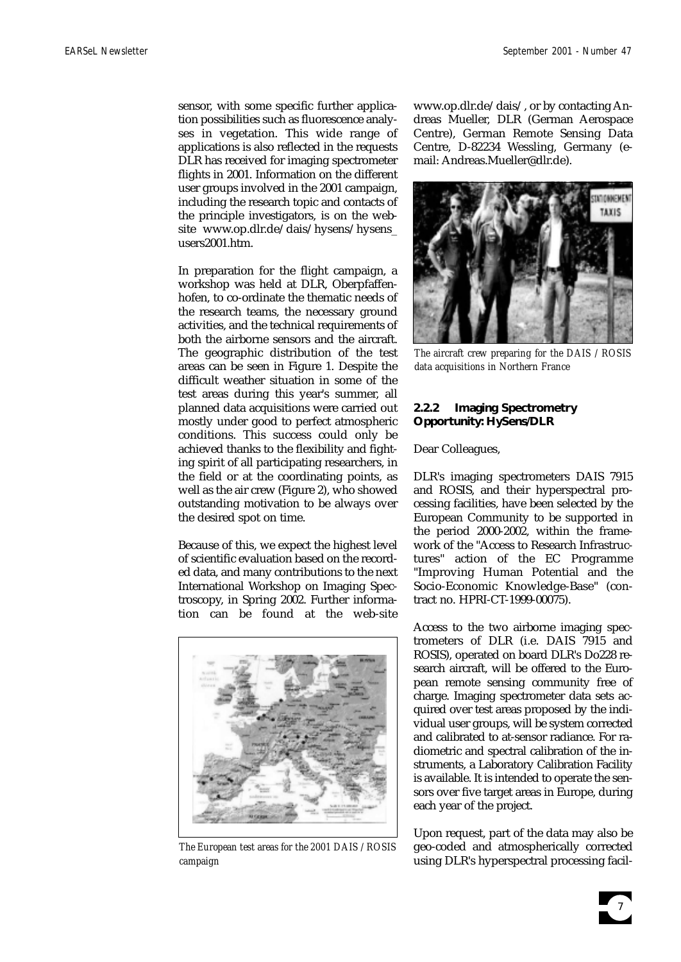sensor, with some specific further application possibilities such as fluorescence analyses in vegetation. This wide range of applications is also reflected in the requests DLR has received for imaging spectrometer flights in 2001. Information on the different user groups involved in the 2001 campaign, including the research topic and contacts of the principle investigators, is on the website www.op.dlr.de/dais/hysens/hysens\_ users2001.htm.

In preparation for the flight campaign, a workshop was held at DLR, Oberpfaffenhofen, to co-ordinate the thematic needs of the research teams, the necessary ground activities, and the technical requirements of both the airborne sensors and the aircraft. The geographic distribution of the test areas can be seen in Figure 1. Despite the difficult weather situation in some of the test areas during this year's summer, all planned data acquisitions were carried out mostly under good to perfect atmospheric conditions. This success could only be achieved thanks to the flexibility and fighting spirit of all participating researchers, in the field or at the coordinating points, as well as the air crew (Figure 2), who showed outstanding motivation to be always over the desired spot on time.

Because of this, we expect the highest level of scientific evaluation based on the recorded data, and many contributions to the next International Workshop on Imaging Spectroscopy, in Spring 2002. Further information can be found at the web-site



*The European test areas for the 2001 DAIS / ROSIS campaign*

www.op.dlr.de/dais/, or by contacting Andreas Mueller, DLR (German Aerospace Centre), German Remote Sensing Data Centre, D-82234 Wessling, Germany (email: Andreas.Mueller@dlr.de).



*The aircraft crew preparing for the DAIS / ROSIS data acquisitions in Northern France*

# **2.2.2 Imaging Spectrometry Opportunity: HySens/DLR**

Dear Colleagues,

DLR's imaging spectrometers DAIS 7915 and ROSIS, and their hyperspectral processing facilities, have been selected by the European Community to be supported in the period 2000-2002, within the framework of the "Access to Research Infrastructures" action of the EC Programme "Improving Human Potential and the Socio-Economic Knowledge-Base" (contract no. HPRI-CT-1999-00075).

Access to the two airborne imaging spectrometers of DLR (i.e. DAIS 7915 and ROSIS), operated on board DLR's Do228 research aircraft, will be offered to the European remote sensing community free of charge. Imaging spectrometer data sets acquired over test areas proposed by the individual user groups, will be system corrected and calibrated to at-sensor radiance. For radiometric and spectral calibration of the instruments, a Laboratory Calibration Facility is available. It is intended to operate the sensors over five target areas in Europe, during each year of the project.

Upon request, part of the data may also be geo-coded and atmospherically corrected using DLR's hyperspectral processing facil-

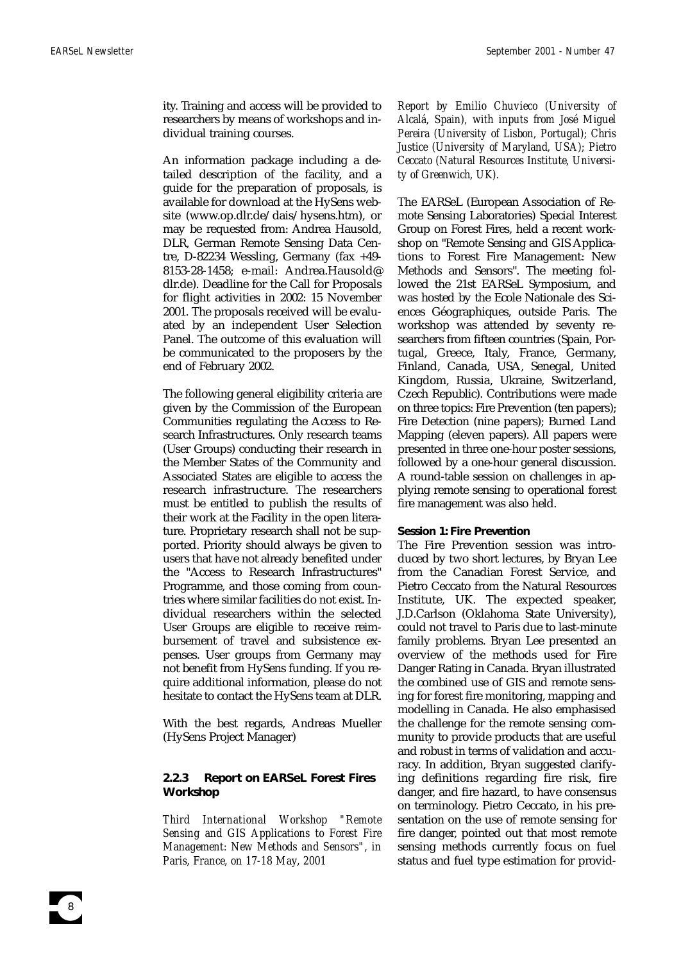ity. Training and access will be provided to researchers by means of workshops and individual training courses.

An information package including a detailed description of the facility, and a guide for the preparation of proposals, is available for download at the HySens website (www.op.dlr.de/dais/hysens.htm), or may be requested from: Andrea Hausold, DLR, German Remote Sensing Data Centre, D-82234 Wessling, Germany (fax +49- 8153-28-1458; e-mail: Andrea.Hausold@ dlr.de). Deadline for the Call for Proposals for flight activities in 2002: 15 November 2001. The proposals received will be evaluated by an independent User Selection Panel. The outcome of this evaluation will be communicated to the proposers by the end of February 2002.

The following general eligibility criteria are given by the Commission of the European Communities regulating the Access to Research Infrastructures. Only research teams (User Groups) conducting their research in the Member States of the Community and Associated States are eligible to access the research infrastructure. The researchers must be entitled to publish the results of their work at the Facility in the open literature. Proprietary research shall not be supported. Priority should always be given to users that have not already benefited under the "Access to Research Infrastructures" Programme, and those coming from countries where similar facilities do not exist. Individual researchers within the selected User Groups are eligible to receive reimbursement of travel and subsistence expenses. User groups from Germany may not benefit from HySens funding. If you require additional information, please do not hesitate to contact the HySens team at DLR.

With the best regards, Andreas Mueller (HySens Project Manager)

# **2.2.3 Report on EARSeL Forest Fires Workshop**

*Third International Workshop "Remote Sensing and GIS Applications to Forest Fire Management: New Methods and Sensors", in Paris, France, on 17-18 May, 2001*

*Report by Emilio Chuvieco (University of Alcalá, Spain), with inputs from José Miguel Pereira (University of Lisbon, Portugal); Chris Justice (University of Maryland, USA); Pietro Ceccato (Natural Resources Institute, University of Greenwich, UK).*

The EARSeL (European Association of Remote Sensing Laboratories) Special Interest Group on Forest Fires, held a recent workshop on "Remote Sensing and GIS Applications to Forest Fire Management: New Methods and Sensors". The meeting followed the 21st EARSeL Symposium, and was hosted by the Ecole Nationale des Sciences Géographiques, outside Paris. The workshop was attended by seventy researchers from fifteen countries (Spain, Portugal, Greece, Italy, France, Germany, Finland, Canada, USA, Senegal, United Kingdom, Russia, Ukraine, Switzerland, Czech Republic). Contributions were made on three topics: Fire Prevention (ten papers); Fire Detection (nine papers); Burned Land Mapping (eleven papers). All papers were presented in three one-hour poster sessions, followed by a one-hour general discussion. A round-table session on challenges in applying remote sensing to operational forest fire management was also held.

#### **Session 1: Fire Prevention**

The Fire Prevention session was introduced by two short lectures, by Bryan Lee from the Canadian Forest Service, and Pietro Ceccato from the Natural Resources Institute, UK. The expected speaker, J.D.Carlson (Oklahoma State University), could not travel to Paris due to last-minute family problems. Bryan Lee presented an overview of the methods used for Fire Danger Rating in Canada. Bryan illustrated the combined use of GIS and remote sensing for forest fire monitoring, mapping and modelling in Canada. He also emphasised the challenge for the remote sensing community to provide products that are useful and robust in terms of validation and accuracy. In addition, Bryan suggested clarifying definitions regarding fire risk, fire danger, and fire hazard, to have consensus on terminology. Pietro Ceccato, in his presentation on the use of remote sensing for fire danger, pointed out that most remote sensing methods currently focus on fuel status and fuel type estimation for provid-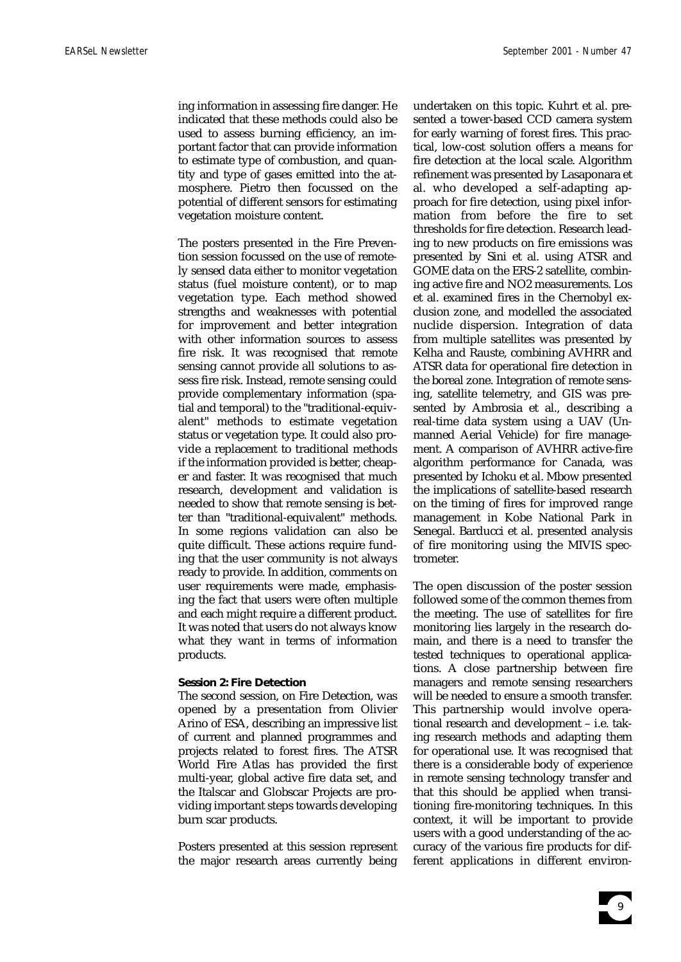ing information in assessing fire danger. He indicated that these methods could also be used to assess burning efficiency, an important factor that can provide information to estimate type of combustion, and quantity and type of gases emitted into the atmosphere. Pietro then focussed on the potential of different sensors for estimating vegetation moisture content.

The posters presented in the Fire Prevention session focussed on the use of remotely sensed data either to monitor vegetation status (fuel moisture content), or to map vegetation type. Each method showed strengths and weaknesses with potential for improvement and better integration with other information sources to assess fire risk. It was recognised that remote sensing cannot provide all solutions to assess fire risk. Instead, remote sensing could provide complementary information (spatial and temporal) to the "traditional-equivalent" methods to estimate vegetation status or vegetation type. It could also provide a replacement to traditional methods if the information provided is better, cheaper and faster. It was recognised that much research, development and validation is needed to show that remote sensing is better than "traditional-equivalent" methods. In some regions validation can also be quite difficult. These actions require funding that the user community is not always ready to provide. In addition, comments on user requirements were made, emphasising the fact that users were often multiple and each might require a different product. It was noted that users do not always know what they want in terms of information products.

# **Session 2: Fire Detection**

The second session, on Fire Detection, was opened by a presentation from Olivier Arino of ESA, describing an impressive list of current and planned programmes and projects related to forest fires. The ATSR World Fire Atlas has provided the first multi-year, global active fire data set, and the Italscar and Globscar Projects are providing important steps towards developing burn scar products.

Posters presented at this session represent the major research areas currently being

undertaken on this topic. Kuhrt et al. presented a tower-based CCD camera system for early warning of forest fires. This practical, low-cost solution offers a means for fire detection at the local scale. Algorithm refinement was presented by Lasaponara et al. who developed a self-adapting approach for fire detection, using pixel information from before the fire to set thresholds for fire detection. Research leading to new products on fire emissions was presented by Sini et al. using ATSR and GOME data on the ERS-2 satellite, combining active fire and NO2 measurements. Los et al. examined fires in the Chernobyl exclusion zone, and modelled the associated nuclide dispersion. Integration of data from multiple satellites was presented by Kelha and Rauste, combining AVHRR and ATSR data for operational fire detection in the boreal zone. Integration of remote sensing, satellite telemetry, and GIS was presented by Ambrosia et al., describing a real-time data system using a UAV (Unmanned Aerial Vehicle) for fire management. A comparison of AVHRR active-fire algorithm performance for Canada, was presented by Ichoku et al. Mbow presented the implications of satellite-based research on the timing of fires for improved range management in Kobe National Park in Senegal. Barducci et al. presented analysis of fire monitoring using the MIVIS spectrometer.

The open discussion of the poster session followed some of the common themes from the meeting. The use of satellites for fire monitoring lies largely in the research domain, and there is a need to transfer the tested techniques to operational applications. A close partnership between fire managers and remote sensing researchers will be needed to ensure a smooth transfer. This partnership would involve operational research and development – i.e. taking research methods and adapting them for operational use. It was recognised that there is a considerable body of experience in remote sensing technology transfer and that this should be applied when transitioning fire-monitoring techniques. In this context, it will be important to provide users with a good understanding of the accuracy of the various fire products for different applications in different environ-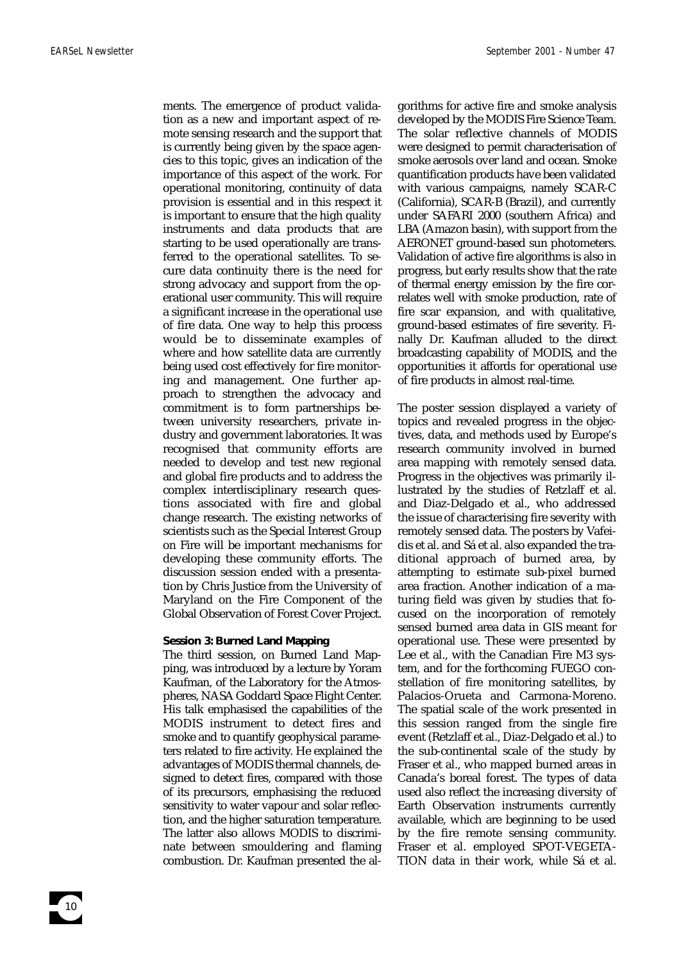ments. The emergence of product validation as a new and important aspect of remote sensing research and the support that is currently being given by the space agencies to this topic, gives an indication of the importance of this aspect of the work. For operational monitoring, continuity of data provision is essential and in this respect it is important to ensure that the high quality instruments and data products that are starting to be used operationally are transferred to the operational satellites. To secure data continuity there is the need for strong advocacy and support from the operational user community. This will require a significant increase in the operational use of fire data. One way to help this process would be to disseminate examples of where and how satellite data are currently being used cost effectively for fire monitoring and management. One further approach to strengthen the advocacy and commitment is to form partnerships between university researchers, private industry and government laboratories. It was recognised that community efforts are needed to develop and test new regional and global fire products and to address the complex interdisciplinary research questions associated with fire and global change research. The existing networks of scientists such as the Special Interest Group on Fire will be important mechanisms for developing these community efforts. The discussion session ended with a presentation by Chris Justice from the University of Maryland on the Fire Component of the Global Observation of Forest Cover Project.

#### **Session 3: Burned Land Mapping**

The third session, on Burned Land Mapping, was introduced by a lecture by Yoram Kaufman, of the Laboratory for the Atmospheres, NASA Goddard Space Flight Center. His talk emphasised the capabilities of the MODIS instrument to detect fires and smoke and to quantify geophysical parameters related to fire activity. He explained the advantages of MODIS thermal channels, designed to detect fires, compared with those of its precursors, emphasising the reduced sensitivity to water vapour and solar reflection, and the higher saturation temperature. The latter also allows MODIS to discriminate between smouldering and flaming combustion. Dr. Kaufman presented the algorithms for active fire and smoke analysis developed by the MODIS Fire Science Team. The solar reflective channels of MODIS were designed to permit characterisation of smoke aerosols over land and ocean. Smoke quantification products have been validated with various campaigns, namely SCAR-C (California), SCAR-B (Brazil), and currently under SAFARI 2000 (southern Africa) and LBA (Amazon basin), with support from the AERONET ground-based sun photometers. Validation of active fire algorithms is also in progress, but early results show that the rate of thermal energy emission by the fire correlates well with smoke production, rate of fire scar expansion, and with qualitative, ground-based estimates of fire severity. Finally Dr. Kaufman alluded to the direct broadcasting capability of MODIS, and the opportunities it affords for operational use of fire products in almost real-time.

The poster session displayed a variety of topics and revealed progress in the objectives, data, and methods used by Europe's research community involved in burned area mapping with remotely sensed data. Progress in the objectives was primarily illustrated by the studies of Retzlaff et al. and Diaz-Delgado et al., who addressed the issue of characterising fire severity with remotely sensed data. The posters by Vafeidis et al. and Sá et al. also expanded the traditional approach of burned area, by attempting to estimate sub-pixel burned area fraction. Another indication of a maturing field was given by studies that focused on the incorporation of remotely sensed burned area data in GIS meant for operational use. These were presented by Lee et al., with the Canadian Fire M3 system, and for the forthcoming FUEGO constellation of fire monitoring satellites, by Palacios-Orueta and Carmona-Moreno. The spatial scale of the work presented in this session ranged from the single fire event (Retzlaff et al., Diaz-Delgado et al.) to the sub-continental scale of the study by Fraser et al., who mapped burned areas in Canada's boreal forest. The types of data used also reflect the increasing diversity of Earth Observation instruments currently available, which are beginning to be used by the fire remote sensing community. Fraser et al. employed SPOT-VEGETA-TION data in their work, while Sá et al.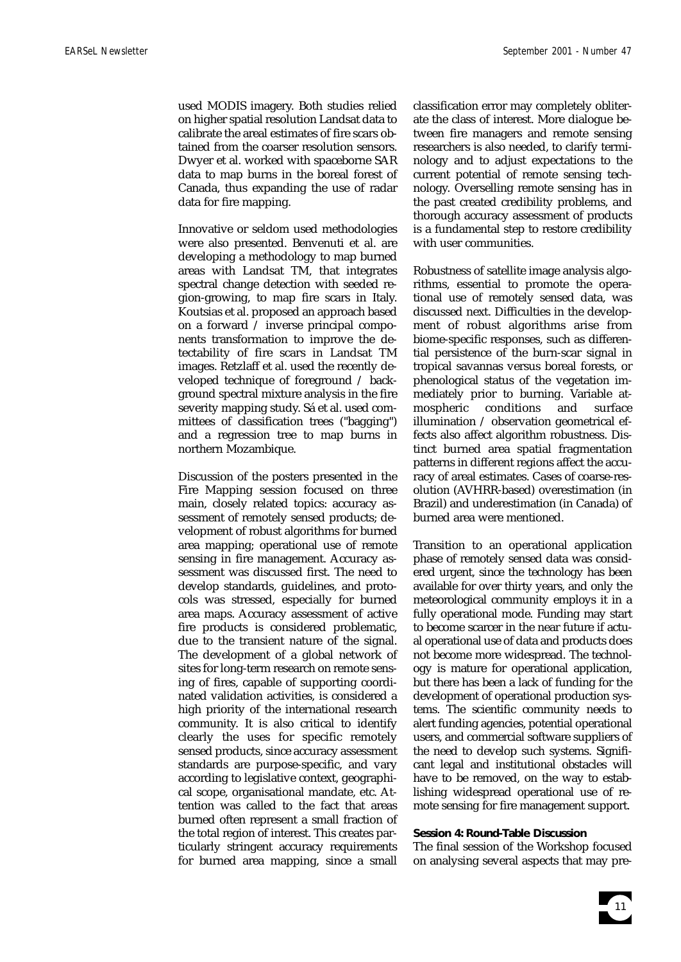used MODIS imagery. Both studies relied on higher spatial resolution Landsat data to calibrate the areal estimates of fire scars obtained from the coarser resolution sensors. Dwyer et al. worked with spaceborne SAR data to map burns in the boreal forest of Canada, thus expanding the use of radar data for fire mapping.

Innovative or seldom used methodologies were also presented. Benvenuti et al. are developing a methodology to map burned areas with Landsat TM, that integrates spectral change detection with seeded region-growing, to map fire scars in Italy. Koutsias et al. proposed an approach based on a forward / inverse principal components transformation to improve the detectability of fire scars in Landsat TM images. Retzlaff et al. used the recently developed technique of foreground / background spectral mixture analysis in the fire severity mapping study. Sá et al. used committees of classification trees ("bagging") and a regression tree to map burns in northern Mozambique.

Discussion of the posters presented in the Fire Mapping session focused on three main, closely related topics: accuracy assessment of remotely sensed products; development of robust algorithms for burned area mapping; operational use of remote sensing in fire management. Accuracy assessment was discussed first. The need to develop standards, guidelines, and protocols was stressed, especially for burned area maps. Accuracy assessment of active fire products is considered problematic, due to the transient nature of the signal. The development of a global network of sites for long-term research on remote sensing of fires, capable of supporting coordinated validation activities, is considered a high priority of the international research community. It is also critical to identify clearly the uses for specific remotely sensed products, since accuracy assessment standards are purpose-specific, and vary according to legislative context, geographical scope, organisational mandate, etc. Attention was called to the fact that areas burned often represent a small fraction of the total region of interest. This creates particularly stringent accuracy requirements for burned area mapping, since a small

classification error may completely obliterate the class of interest. More dialogue between fire managers and remote sensing researchers is also needed, to clarify terminology and to adjust expectations to the current potential of remote sensing technology. Overselling remote sensing has in the past created credibility problems, and thorough accuracy assessment of products is a fundamental step to restore credibility with user communities.

Robustness of satellite image analysis algorithms, essential to promote the operational use of remotely sensed data, was discussed next. Difficulties in the development of robust algorithms arise from biome-specific responses, such as differential persistence of the burn-scar signal in tropical savannas versus boreal forests, or phenological status of the vegetation immediately prior to burning. Variable atmospheric conditions and surface illumination / observation geometrical effects also affect algorithm robustness. Distinct burned area spatial fragmentation patterns in different regions affect the accuracy of areal estimates. Cases of coarse-resolution (AVHRR-based) overestimation (in Brazil) and underestimation (in Canada) of burned area were mentioned.

Transition to an operational application phase of remotely sensed data was considered urgent, since the technology has been available for over thirty years, and only the meteorological community employs it in a fully operational mode. Funding may start to become scarcer in the near future if actual operational use of data and products does not become more widespread. The technology is mature for operational application, but there has been a lack of funding for the development of operational production systems. The scientific community needs to alert funding agencies, potential operational users, and commercial software suppliers of the need to develop such systems. Significant legal and institutional obstacles will have to be removed, on the way to establishing widespread operational use of remote sensing for fire management support.

# **Session 4: Round-Table Discussion**

The final session of the Workshop focused on analysing several aspects that may pre-

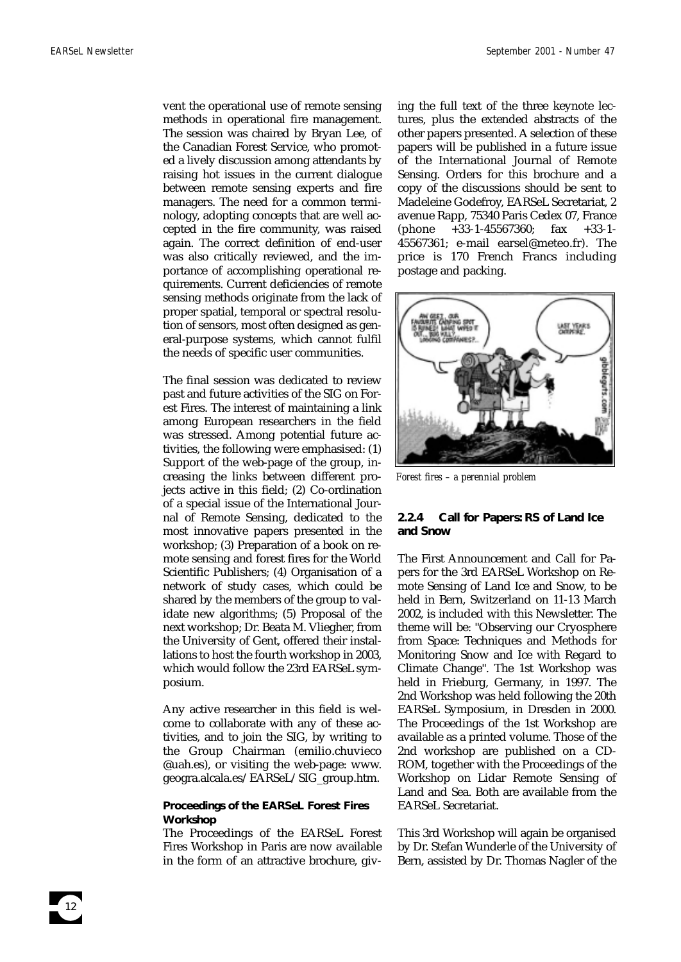vent the operational use of remote sensing methods in operational fire management. The session was chaired by Bryan Lee, of the Canadian Forest Service, who promoted a lively discussion among attendants by raising hot issues in the current dialogue between remote sensing experts and fire managers. The need for a common terminology, adopting concepts that are well accepted in the fire community, was raised again. The correct definition of end-user was also critically reviewed, and the importance of accomplishing operational requirements. Current deficiencies of remote sensing methods originate from the lack of proper spatial, temporal or spectral resolution of sensors, most often designed as general-purpose systems, which cannot fulfil the needs of specific user communities.

The final session was dedicated to review past and future activities of the SIG on Forest Fires. The interest of maintaining a link among European researchers in the field was stressed. Among potential future activities, the following were emphasised: (1) Support of the web-page of the group, increasing the links between different projects active in this field; (2) Co-ordination of a special issue of the International Journal of Remote Sensing, dedicated to the most innovative papers presented in the workshop; (3) Preparation of a book on remote sensing and forest fires for the World Scientific Publishers; (4) Organisation of a network of study cases, which could be shared by the members of the group to validate new algorithms; (5) Proposal of the next workshop; Dr. Beata M. Vliegher, from the University of Gent, offered their installations to host the fourth workshop in 2003, which would follow the 23rd EARSeL symposium.

Any active researcher in this field is welcome to collaborate with any of these activities, and to join the SIG, by writing to the Group Chairman (emilio.chuvieco @uah.es), or visiting the web-page: www. geogra.alcala.es/EARSeL/SIG\_group.htm.

#### **Proceedings of the EARSeL Forest Fires Workshop**

The Proceedings of the EARSeL Forest Fires Workshop in Paris are now available in the form of an attractive brochure, giving the full text of the three keynote lectures, plus the extended abstracts of the other papers presented. A selection of these papers will be published in a future issue of the International Journal of Remote Sensing. Orders for this brochure and a copy of the discussions should be sent to Madeleine Godefroy, EARSeL Secretariat, 2 avenue Rapp, 75340 Paris Cedex 07, France (phone +33-1-45567360; fax +33-1- 45567361; e-mail earsel@meteo.fr). The price is 170 French Francs including postage and packing.



*Forest fires – a perennial problem*

# **2.2.4 Call for Papers: RS of Land Ice and Snow**

The First Announcement and Call for Papers for the 3rd EARSeL Workshop on Remote Sensing of Land Ice and Snow, to be held in Bern, Switzerland on 11-13 March 2002, is included with this Newsletter. The theme will be: "Observing our Cryosphere from Space: Techniques and Methods for Monitoring Snow and Ice with Regard to Climate Change". The 1st Workshop was held in Frieburg, Germany, in 1997. The 2nd Workshop was held following the 20th EARSeL Symposium, in Dresden in 2000. The Proceedings of the 1st Workshop are available as a printed volume. Those of the 2nd workshop are published on a CD-ROM, together with the Proceedings of the Workshop on Lidar Remote Sensing of Land and Sea. Both are available from the EARSeL Secretariat.

This 3rd Workshop will again be organised by Dr. Stefan Wunderle of the University of Bern, assisted by Dr. Thomas Nagler of the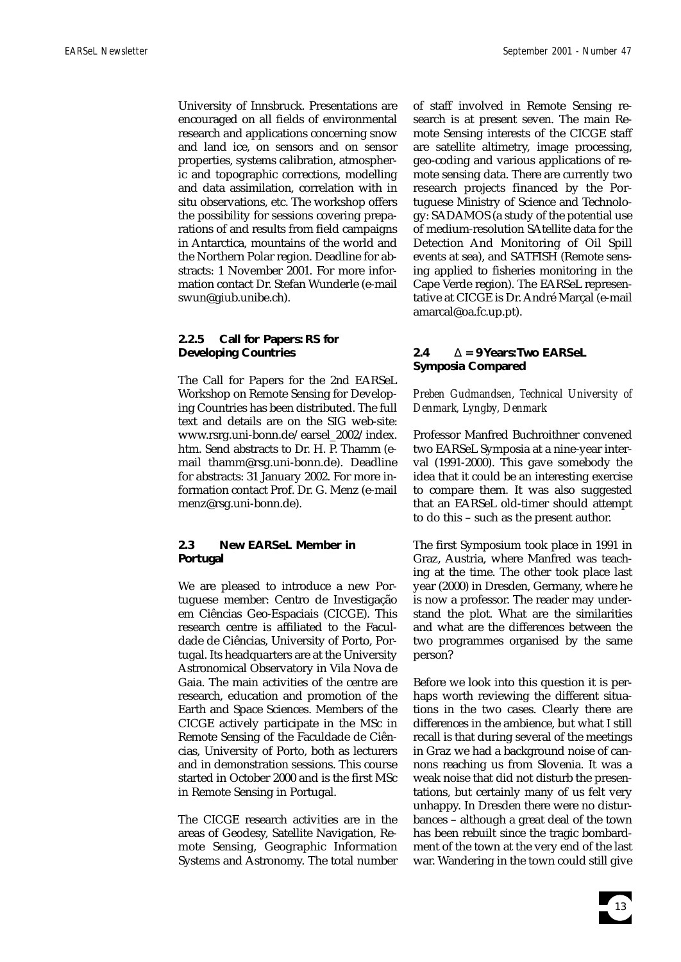University of Innsbruck. Presentations are encouraged on all fields of environmental research and applications concerning snow and land ice, on sensors and on sensor properties, systems calibration, atmospheric and topographic corrections, modelling and data assimilation, correlation with in situ observations, etc. The workshop offers the possibility for sessions covering preparations of and results from field campaigns in Antarctica, mountains of the world and the Northern Polar region. Deadline for abstracts: 1 November 2001. For more information contact Dr. Stefan Wunderle (e-mail swun@giub.unibe.ch).

# **2.2.5 Call for Papers: RS for Developing Countries**

The Call for Papers for the 2nd EARSeL Workshop on Remote Sensing for Developing Countries has been distributed. The full text and details are on the SIG web-site: www.rsrg.uni-bonn.de/earsel\_2002/index. htm. Send abstracts to Dr. H. P. Thamm (email thamm@rsg.uni-bonn.de). Deadline for abstracts: 31 January 2002. For more information contact Prof. Dr. G. Menz (e-mail menz@rsg.uni-bonn.de).

# **2.3 New EARSeL Member in Portugal**

We are pleased to introduce a new Portuguese member: Centro de Investigação em Ciências Geo-Espaciais (CICGE). This research centre is affiliated to the Faculdade de Ciências, University of Porto, Portugal. Its headquarters are at the University Astronomical Observatory in Vila Nova de Gaia. The main activities of the centre are research, education and promotion of the Earth and Space Sciences. Members of the CICGE actively participate in the MSc in Remote Sensing of the Faculdade de Ciências, University of Porto, both as lecturers and in demonstration sessions. This course started in October 2000 and is the first MSc in Remote Sensing in Portugal.

The CICGE research activities are in the areas of Geodesy, Satellite Navigation, Remote Sensing, Geographic Information Systems and Astronomy. The total number of staff involved in Remote Sensing research is at present seven. The main Remote Sensing interests of the CICGE staff are satellite altimetry, image processing, geo-coding and various applications of remote sensing data. There are currently two research projects financed by the Portuguese Ministry of Science and Technology: SADAMOS (a study of the potential use of medium-resolution SAtellite data for the Detection And Monitoring of Oil Spill events at sea), and SATFISH (Remote sensing applied to fisheries monitoring in the Cape Verde region). The EARSeL representative at CICGE is Dr. André Marçal (e-mail amarcal@oa.fc.up.pt).

# **2.4** ∆ **= 9 Years:Two EARSeL Symposia Compared**

# *Preben Gudmandsen, Technical University of Denmark, Lyngby, Denmark*

Professor Manfred Buchroithner convened two EARSeL Symposia at a nine-year interval (1991-2000). This gave somebody the idea that it could be an interesting exercise to compare them. It was also suggested that an EARSeL old-timer should attempt to do this – such as the present author.

The first Symposium took place in 1991 in Graz, Austria, where Manfred was teaching at the time. The other took place last year (2000) in Dresden, Germany, where he is now a professor. The reader may understand the plot. What are the similarities and what are the differences between the two programmes organised by the same person?

Before we look into this question it is perhaps worth reviewing the different situations in the two cases. Clearly there are differences in the ambience, but what I still recall is that during several of the meetings in Graz we had a background noise of cannons reaching us from Slovenia. It was a weak noise that did not disturb the presentations, but certainly many of us felt very unhappy. In Dresden there were no disturbances – although a great deal of the town has been rebuilt since the tragic bombardment of the town at the very end of the last war. Wandering in the town could still give

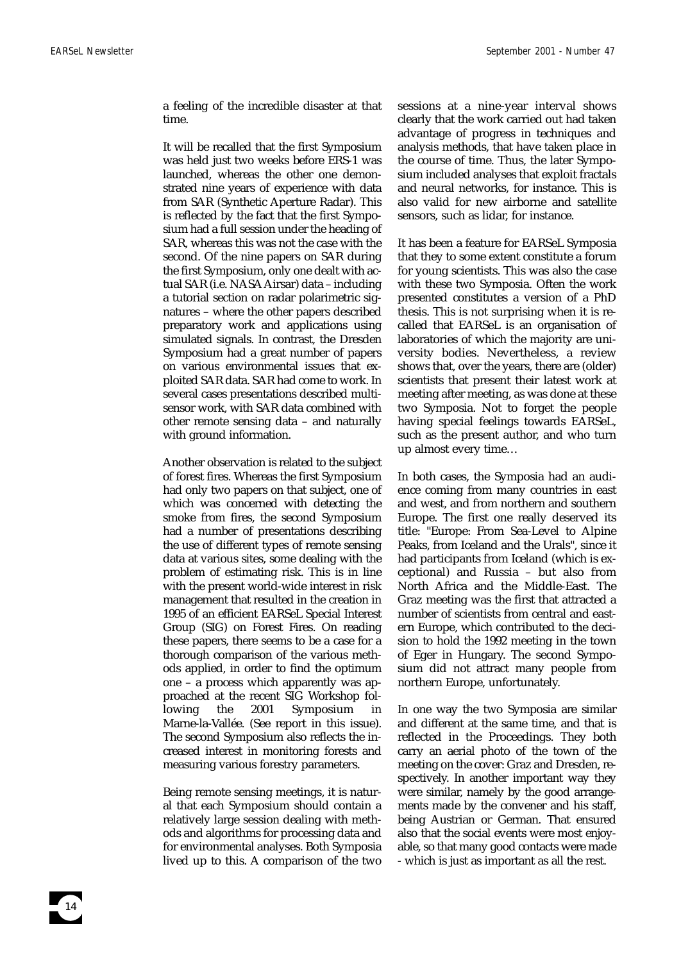a feeling of the incredible disaster at that time.

It will be recalled that the first Symposium was held just two weeks before ERS-1 was launched, whereas the other one demonstrated nine years of experience with data from SAR (Synthetic Aperture Radar). This is reflected by the fact that the first Symposium had a full session under the heading of SAR, whereas this was not the case with the second. Of the nine papers on SAR during the first Symposium, only one dealt with actual SAR (i.e. NASAAirsar) data – including a tutorial section on radar polarimetric signatures – where the other papers described preparatory work and applications using simulated signals. In contrast, the Dresden Symposium had a great number of papers on various environmental issues that exploited SAR data. SAR had come to work. In several cases presentations described multisensor work, with SAR data combined with other remote sensing data – and naturally with ground information.

Another observation is related to the subject of forest fires. Whereas the first Symposium had only two papers on that subject, one of which was concerned with detecting the smoke from fires, the second Symposium had a number of presentations describing the use of different types of remote sensing data at various sites, some dealing with the problem of estimating risk. This is in line with the present world-wide interest in risk management that resulted in the creation in 1995 of an efficient EARSeL Special Interest Group (SIG) on Forest Fires. On reading these papers, there seems to be a case for a thorough comparison of the various methods applied, in order to find the optimum one – a process which apparently was approached at the recent SIG Workshop following the 2001 Symposium in Marne-la-Vallée. (See report in this issue). The second Symposium also reflects the increased interest in monitoring forests and measuring various forestry parameters.

Being remote sensing meetings, it is natural that each Symposium should contain a relatively large session dealing with methods and algorithms for processing data and for environmental analyses. Both Symposia lived up to this. A comparison of the two

sessions at a nine-year interval shows clearly that the work carried out had taken advantage of progress in techniques and analysis methods, that have taken place in the course of time. Thus, the later Symposium included analyses that exploit fractals and neural networks, for instance. This is also valid for new airborne and satellite sensors, such as lidar, for instance.

It has been a feature for EARSeL Symposia that they to some extent constitute a forum for young scientists. This was also the case with these two Symposia. Often the work presented constitutes a version of a PhD thesis. This is not surprising when it is recalled that EARSeL is an organisation of laboratories of which the majority are university bodies. Nevertheless, a review shows that, over the years, there are (older) scientists that present their latest work at meeting after meeting, as was done at these two Symposia. Not to forget the people having special feelings towards EARSeL, such as the present author, and who turn up almost every time…

In both cases, the Symposia had an audience coming from many countries in east and west, and from northern and southern Europe. The first one really deserved its title: "Europe: From Sea-Level to Alpine Peaks, from Iceland and the Urals", since it had participants from Iceland (which is exceptional) and Russia – but also from North Africa and the Middle-East. The Graz meeting was the first that attracted a number of scientists from central and eastern Europe, which contributed to the decision to hold the 1992 meeting in the town of Eger in Hungary. The second Symposium did not attract many people from northern Europe, unfortunately.

In one way the two Symposia are similar and different at the same time, and that is reflected in the Proceedings. They both carry an aerial photo of the town of the meeting on the cover: Graz and Dresden, respectively. In another important way they were similar, namely by the good arrangements made by the convener and his staff, being Austrian or German. That ensured also that the social events were most enjoyable, so that many good contacts were made - which is just as important as all the rest.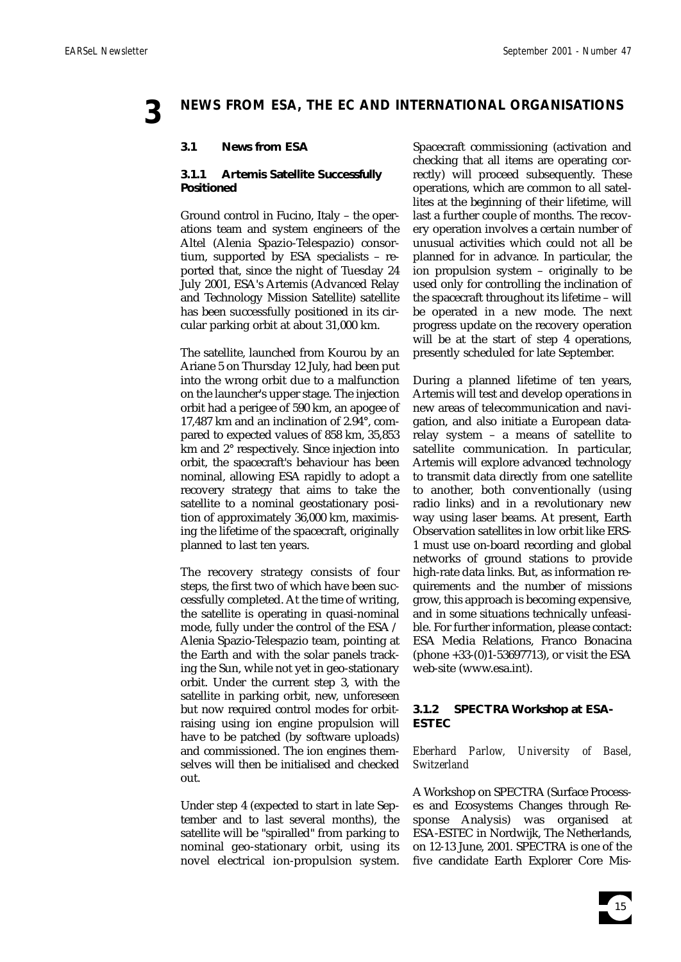# **3 NEWS FROM ESA, THE EC AND INTERNATIONAL ORGANISATIONS**

# **3.1 News from ESA**

# **3.1.1 Artemis Satellite Successfully Positioned**

Ground control in Fucino, Italy – the operations team and system engineers of the Altel (Alenia Spazio-Telespazio) consortium, supported by ESA specialists – reported that, since the night of Tuesday 24 July 2001, ESA's Artemis (Advanced Relay and Technology Mission Satellite) satellite has been successfully positioned in its circular parking orbit at about 31,000 km.

The satellite, launched from Kourou by an Ariane 5 on Thursday 12 July, had been put into the wrong orbit due to a malfunction on the launcher's upper stage. The injection orbit had a perigee of 590 km, an apogee of 17,487 km and an inclination of 2.94°, compared to expected values of 858 km, 35,853 km and 2° respectively. Since injection into orbit, the spacecraft's behaviour has been nominal, allowing ESA rapidly to adopt a recovery strategy that aims to take the satellite to a nominal geostationary position of approximately 36,000 km, maximising the lifetime of the spacecraft, originally planned to last ten years.

The recovery strategy consists of four steps, the first two of which have been successfully completed. At the time of writing, the satellite is operating in quasi-nominal mode, fully under the control of the ESA / Alenia Spazio-Telespazio team, pointing at the Earth and with the solar panels tracking the Sun, while not yet in geo-stationary orbit. Under the current step 3, with the satellite in parking orbit, new, unforeseen but now required control modes for orbitraising using ion engine propulsion will have to be patched (by software uploads) and commissioned. The ion engines themselves will then be initialised and checked out.

Under step 4 (expected to start in late September and to last several months), the satellite will be "spiralled" from parking to nominal geo-stationary orbit, using its novel electrical ion-propulsion system. Spacecraft commissioning (activation and checking that all items are operating correctly) will proceed subsequently. These operations, which are common to all satellites at the beginning of their lifetime, will last a further couple of months. The recovery operation involves a certain number of unusual activities which could not all be planned for in advance. In particular, the ion propulsion system – originally to be used only for controlling the inclination of the spacecraft throughout its lifetime – will be operated in a new mode. The next progress update on the recovery operation will be at the start of step 4 operations, presently scheduled for late September.

During a planned lifetime of ten years, Artemis will test and develop operations in new areas of telecommunication and navigation, and also initiate a European datarelay system – a means of satellite to satellite communication. In particular, Artemis will explore advanced technology to transmit data directly from one satellite to another, both conventionally (using radio links) and in a revolutionary new way using laser beams. At present, Earth Observation satellites in low orbit like ERS-1 must use on-board recording and global networks of ground stations to provide high-rate data links. But, as information requirements and the number of missions grow, this approach is becoming expensive, and in some situations technically unfeasible. For further information, please contact: ESA Media Relations, Franco Bonacina (phone +33-(0)1-53697713), or visit the ESA web-site (www.esa.int).

# **3.1.2 SPECTRA Workshop at ESA-ESTEC**

# *Eberhard Parlow, University of Basel, Switzerland*

A Workshop on SPECTRA (Surface Processes and Ecosystems Changes through Response Analysis) was organised at ESA-ESTEC in Nordwijk, The Netherlands, on 12-13 June, 2001. SPECTRA is one of the five candidate Earth Explorer Core Mis-

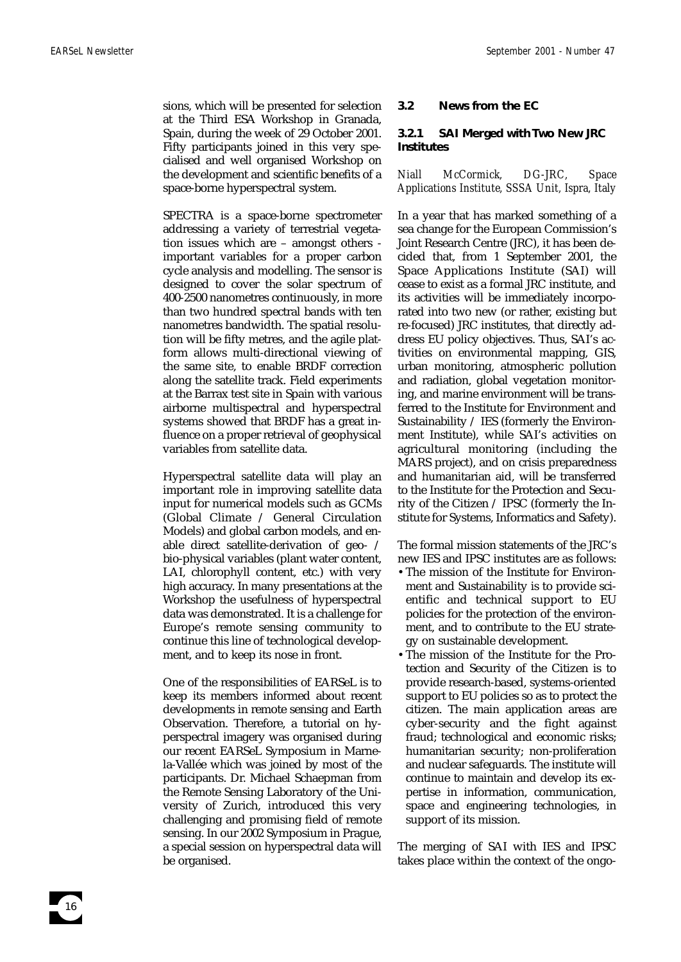sions, which will be presented for selection at the Third ESA Workshop in Granada, Spain, during the week of 29 October 2001. Fifty participants joined in this very specialised and well organised Workshop on the development and scientific benefits of a space-borne hyperspectral system.

SPECTRA is a space-borne spectrometer addressing a variety of terrestrial vegetation issues which are – amongst others important variables for a proper carbon cycle analysis and modelling. The sensor is designed to cover the solar spectrum of 400-2500 nanometres continuously, in more than two hundred spectral bands with ten nanometres bandwidth. The spatial resolution will be fifty metres, and the agile platform allows multi-directional viewing of the same site, to enable BRDF correction along the satellite track. Field experiments at the Barrax test site in Spain with various airborne multispectral and hyperspectral systems showed that BRDF has a great influence on a proper retrieval of geophysical variables from satellite data.

Hyperspectral satellite data will play an important role in improving satellite data input for numerical models such as GCMs (Global Climate / General Circulation Models) and global carbon models, and enable direct satellite-derivation of geo- / bio-physical variables (plant water content, LAI, chlorophyll content, etc.) with very high accuracy. In many presentations at the Workshop the usefulness of hyperspectral data was demonstrated. It is a challenge for Europe's remote sensing community to continue this line of technological development, and to keep its nose in front.

One of the responsibilities of EARSeL is to keep its members informed about recent developments in remote sensing and Earth Observation. Therefore, a tutorial on hyperspectral imagery was organised during our recent EARSeL Symposium in Marnela-Vallée which was joined by most of the participants. Dr. Michael Schaepman from the Remote Sensing Laboratory of the University of Zurich, introduced this very challenging and promising field of remote sensing. In our 2002 Symposium in Prague, a special session on hyperspectral data will be organised.

# **3.2 News from the EC**

# **3.2.1 SAI Merged with Two New JRC Institutes**

*Niall McCormick, DG-JRC, Space Applications Institute, SSSA Unit, Ispra, Italy*

In a year that has marked something of a sea change for the European Commission's Joint Research Centre (JRC), it has been decided that, from 1 September 2001, the Space Applications Institute (SAI) will cease to exist as a formal JRC institute, and its activities will be immediately incorporated into two new (or rather, existing but re-focused) JRC institutes, that directly address EU policy objectives. Thus, SAI's activities on environmental mapping, GIS, urban monitoring, atmospheric pollution and radiation, global vegetation monitoring, and marine environment will be transferred to the Institute for Environment and Sustainability / IES (formerly the Environment Institute), while SAI's activities on agricultural monitoring (including the MARS project), and on crisis preparedness and humanitarian aid, will be transferred to the Institute for the Protection and Security of the Citizen / IPSC (formerly the Institute for Systems, Informatics and Safety).

The formal mission statements of the JRC's new IES and IPSC institutes are as follows:

- •The mission of the Institute for Environment and Sustainability is to provide scientific and technical support to EU policies for the protection of the environment, and to contribute to the EU strategy on sustainable development.
- •The mission of the Institute for the Protection and Security of the Citizen is to provide research-based, systems-oriented support to EU policies so as to protect the citizen. The main application areas are cyber-security and the fight against fraud; technological and economic risks; humanitarian security; non-proliferation and nuclear safeguards. The institute will continue to maintain and develop its expertise in information, communication, space and engineering technologies, in support of its mission.

The merging of SAI with IES and IPSC takes place within the context of the ongo-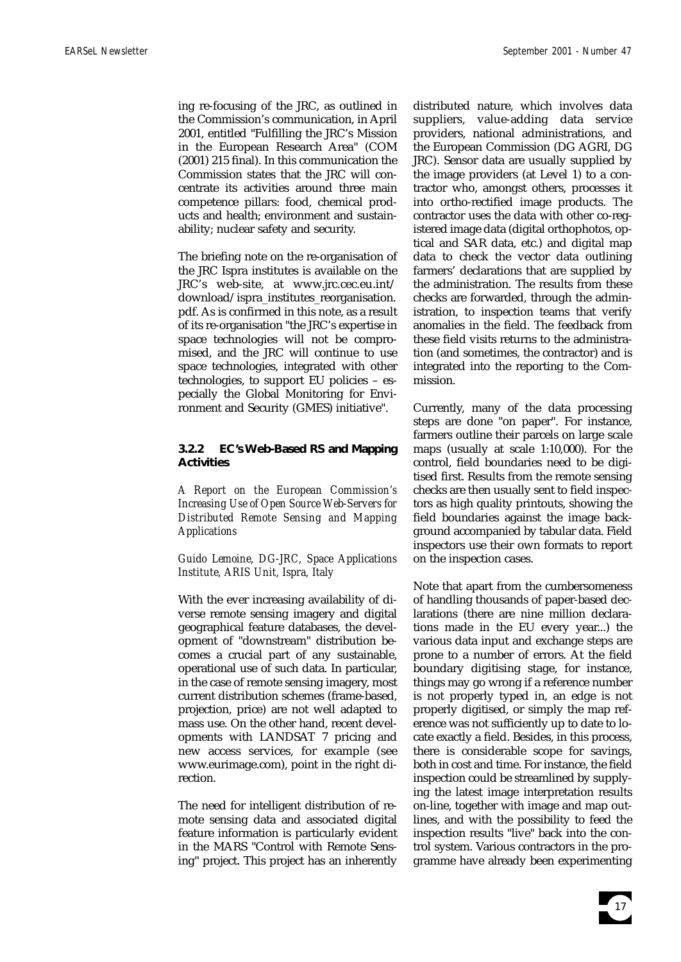ing re-focusing of the JRC, as outlined in the Commission's communication, in April 2001, entitled "Fulfilling the JRC's Mission in the European Research Area" (COM (2001) 215 final). In this communication the Commission states that the JRC will concentrate its activities around three main competence pillars: food, chemical products and health; environment and sustainability; nuclear safety and security.

The briefing note on the re-organisation of the JRC Ispra institutes is available on the JRC's web-site, at www.jrc.cec.eu.int/ download/ispra\_institutes\_reorganisation. pdf. As is confirmed in this note, as a result of its re-organisation "the JRC's expertise in space technologies will not be compromised, and the JRC will continue to use space technologies, integrated with other technologies, to support EU policies – especially the Global Monitoring for Environment and Security (GMES) initiative".

# **3.2.2 EC's Web-Based RS and Mapping Activities**

*A Report on the European Commission's Increasing Use of Open Source Web-Servers for Distributed Remote Sensing and Mapping Applications*

# *Guido Lemoine, DG-JRC, Space Applications Institute, ARIS Unit, Ispra, Italy*

With the ever increasing availability of diverse remote sensing imagery and digital geographical feature databases, the development of "downstream" distribution becomes a crucial part of any sustainable, operational use of such data. In particular, in the case of remote sensing imagery, most current distribution schemes (frame-based, projection, price) are not well adapted to mass use. On the other hand, recent developments with LANDSAT 7 pricing and new access services, for example (see www.eurimage.com), point in the right direction.

The need for intelligent distribution of remote sensing data and associated digital feature information is particularly evident in the MARS "Control with Remote Sensing" project. This project has an inherently

distributed nature, which involves data suppliers, value-adding data service providers, national administrations, and the European Commission (DG AGRI, DG JRC). Sensor data are usually supplied by the image providers (at Level 1) to a contractor who, amongst others, processes it into ortho-rectified image products. The contractor uses the data with other co-registered image data (digital orthophotos, optical and SAR data, etc.) and digital map data to check the vector data outlining farmers' declarations that are supplied by the administration. The results from these checks are forwarded, through the administration, to inspection teams that verify anomalies in the field. The feedback from these field visits returns to the administration (and sometimes, the contractor) and is integrated into the reporting to the Commission.

Currently, many of the data processing steps are done "on paper". For instance, farmers outline their parcels on large scale maps (usually at scale 1:10,000). For the control, field boundaries need to be digitised first. Results from the remote sensing checks are then usually sent to field inspectors as high quality printouts, showing the field boundaries against the image background accompanied by tabular data. Field inspectors use their own formats to report on the inspection cases.

Note that apart from the cumbersomeness of handling thousands of paper-based declarations (there are nine million declarations made in the EU every year...) the various data input and exchange steps are prone to a number of errors. At the field boundary digitising stage, for instance, things may go wrong if a reference number is not properly typed in, an edge is not properly digitised, or simply the map reference was not sufficiently up to date to locate exactly a field. Besides, in this process, there is considerable scope for savings, both in cost and time. For instance, the field inspection could be streamlined by supplying the latest image interpretation results on-line, together with image and map outlines, and with the possibility to feed the inspection results "live" back into the control system. Various contractors in the programme have already been experimenting

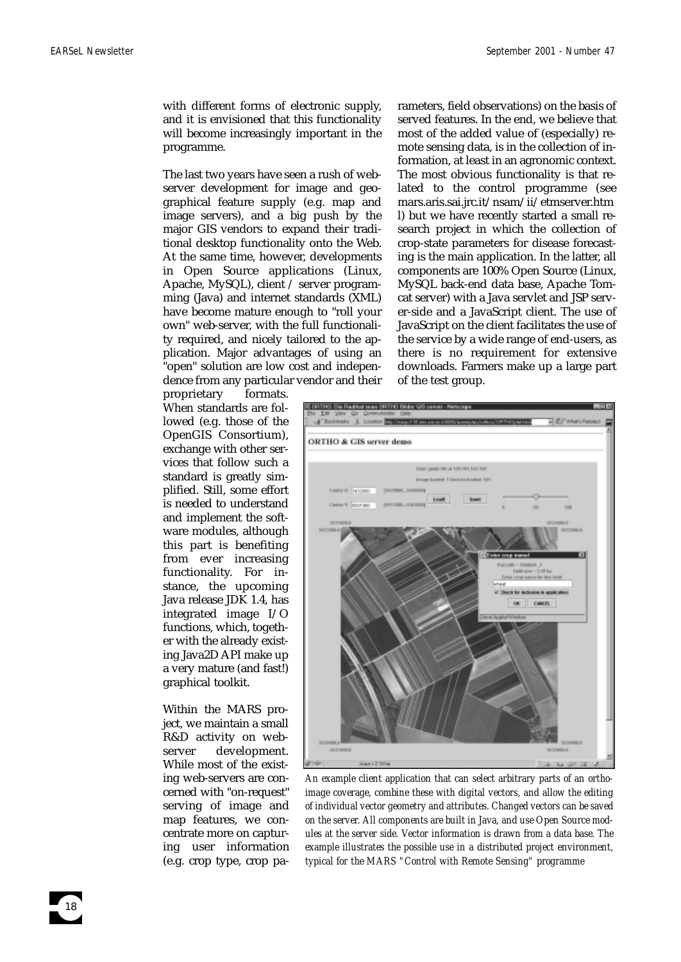with different forms of electronic supply, and it is envisioned that this functionality will become increasingly important in the programme.

The last two years have seen a rush of webserver development for image and geographical feature supply (e.g. map and image servers), and a big push by the major GIS vendors to expand their traditional desktop functionality onto the Web. At the same time, however, developments in Open Source applications (Linux, Apache, MySQL), client / server programming (Java) and internet standards (XML) have become mature enough to "roll your own" web-server, with the full functionality required, and nicely tailored to the application. Major advantages of using an "open" solution are low cost and independence from any particular vendor and their

proprietary formats. When standards are followed (e.g. those of the OpenGIS Consortium), exchange with other services that follow such a standard is greatly simplified. Still, some effort is needed to understand and implement the software modules, although this part is benefiting from ever increasing functionality. For instance, the upcoming Java release JDK 1.4, has integrated image I/O functions, which, together with the already existing Java2D API make up a very mature (and fast!) graphical toolkit.

Within the MARS project, we maintain a small R&D activity on webserver development. While most of the existing web-servers are concerned with "on-request" serving of image and map features, we concentrate more on capturing user information (e.g. crop type, crop pa-

18

rameters, field observations) on the basis of served features. In the end, we believe that most of the added value of (especially) remote sensing data, is in the collection of information, at least in an agronomic context. The most obvious functionality is that related to the control programme (see mars.aris.sai.jrc.it/nsam/ii/etmserver.htm l) but we have recently started a small research project in which the collection of crop-state parameters for disease forecasting is the main application. In the latter, all components are 100% Open Source (Linux, MySQL back-end data base, Apache Tomcat server) with a Java servlet and JSP server-side and a JavaScript client. The use of JavaScript on the client facilitates the use of the service by a wide range of end-users, as there is no requirement for extensive downloads. Farmers make up a large part of the test group.



*An example client application that can select arbitrary parts of an orthoimage coverage, combine these with digital vectors, and allow the editing of individual vector geometry and attributes. Changed vectors can be saved on the server. All components are built in Java, and use Open Source modules at the server side. Vector information is drawn from a data base. The example illustrates the possible use in a distributed project environment, typical for the MARS "Control with Remote Sensing" programme*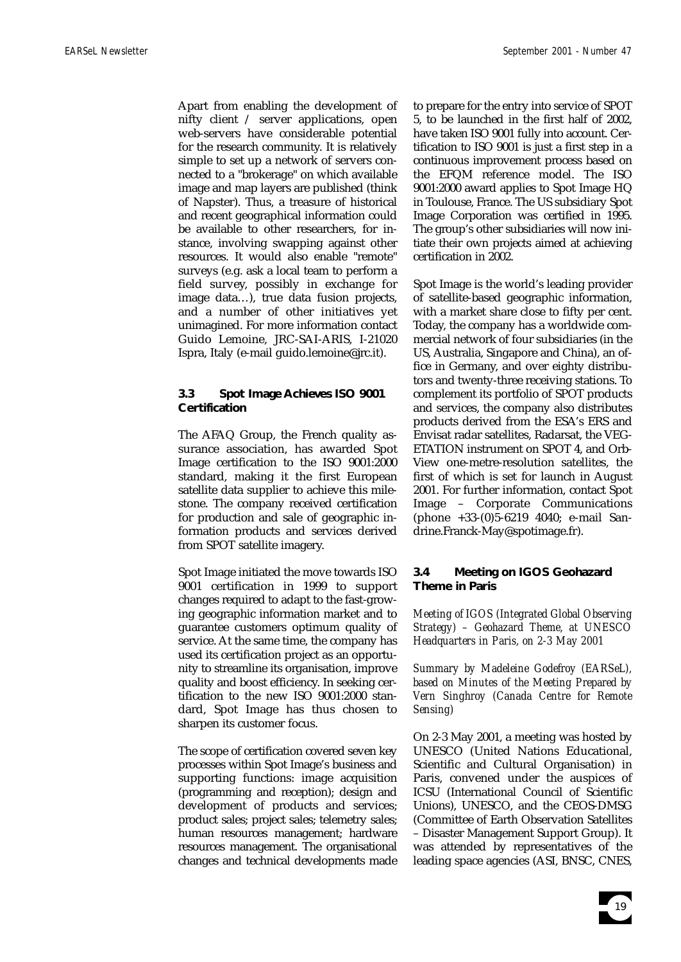Apart from enabling the development of nifty client / server applications, open web-servers have considerable potential for the research community. It is relatively simple to set up a network of servers connected to a "brokerage" on which available image and map layers are published (think of Napster). Thus, a treasure of historical and recent geographical information could be available to other researchers, for instance, involving swapping against other resources. It would also enable "remote" surveys (e.g. ask a local team to perform a field survey, possibly in exchange for image data…), true data fusion projects, and a number of other initiatives yet unimagined. For more information contact Guido Lemoine, JRC-SAI-ARIS, I-21020 Ispra, Italy (e-mail guido.lemoine@jrc.it).

# **3.3 Spot Image Achieves ISO 9001 Certification**

The AFAQ Group, the French quality assurance association, has awarded Spot Image certification to the ISO 9001:2000 standard, making it the first European satellite data supplier to achieve this milestone. The company received certification for production and sale of geographic information products and services derived from SPOT satellite imagery.

Spot Image initiated the move towards ISO 9001 certification in 1999 to support changes required to adapt to the fast-growing geographic information market and to guarantee customers optimum quality of service. At the same time, the company has used its certification project as an opportunity to streamline its organisation, improve quality and boost efficiency. In seeking certification to the new ISO 9001:2000 standard, Spot Image has thus chosen to sharpen its customer focus.

The scope of certification covered seven key processes within Spot Image's business and supporting functions: image acquisition (programming and reception); design and development of products and services; product sales; project sales; telemetry sales; human resources management; hardware resources management. The organisational changes and technical developments made

to prepare for the entry into service of SPOT 5, to be launched in the first half of 2002, have taken ISO 9001 fully into account. Certification to ISO 9001 is just a first step in a continuous improvement process based on the EFQM reference model. The ISO 9001:2000 award applies to Spot Image HQ in Toulouse, France. The US subsidiary Spot Image Corporation was certified in 1995. The group's other subsidiaries will now initiate their own projects aimed at achieving certification in 2002.

Spot Image is the world's leading provider of satellite-based geographic information, with a market share close to fifty per cent. Today, the company has a worldwide commercial network of four subsidiaries (in the US, Australia, Singapore and China), an office in Germany, and over eighty distributors and twenty-three receiving stations. To complement its portfolio of SPOT products and services, the company also distributes products derived from the ESA's ERS and Envisat radar satellites, Radarsat, the VEG-ETATION instrument on SPOT 4, and Orb-View one-metre-resolution satellites, the first of which is set for launch in August 2001. For further information, contact Spot Image – Corporate Communications (phone +33-(0)5-6219 4040; e-mail Sandrine.Franck-May@spotimage.fr).

# **3.4 Meeting on IGOS Geohazard Theme in Paris**

*Meeting of IGOS (Integrated Global Observing Strategy) – Geohazard Theme, at UNESCO Headquarters in Paris, on 2-3 May 2001*

*Summary by Madeleine Godefroy (EARSeL), based on Minutes of the Meeting Prepared by Vern Singhroy (Canada Centre for Remote Sensing)*

On 2-3 May 2001, a meeting was hosted by UNESCO (United Nations Educational, Scientific and Cultural Organisation) in Paris, convened under the auspices of ICSU (International Council of Scientific Unions), UNESCO, and the CEOS-DMSG (Committee of Earth Observation Satellites – Disaster Management Support Group). It was attended by representatives of the leading space agencies (ASI, BNSC, CNES,

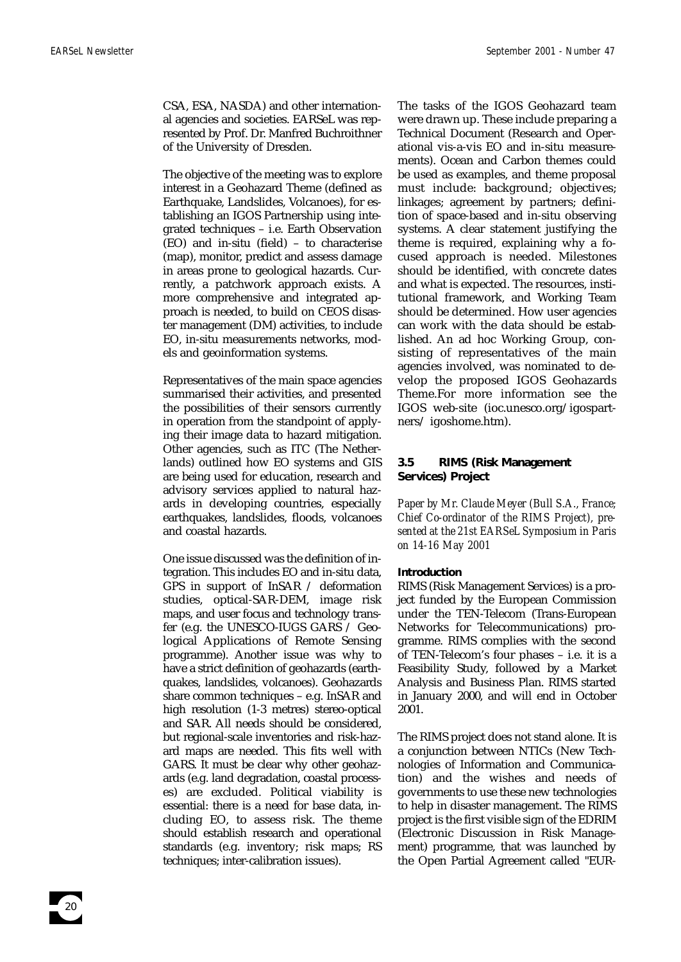CSA, ESA, NASDA) and other international agencies and societies. EARSeL was represented by Prof. Dr. Manfred Buchroithner of the University of Dresden.

The objective of the meeting was to explore interest in a Geohazard Theme (defined as Earthquake, Landslides, Volcanoes), for establishing an IGOS Partnership using integrated techniques – i.e. Earth Observation (EO) and in-situ (field) – to characterise (map), monitor, predict and assess damage in areas prone to geological hazards. Currently, a patchwork approach exists. A more comprehensive and integrated approach is needed, to build on CEOS disaster management (DM) activities, to include EO, in-situ measurements networks, models and geoinformation systems.

Representatives of the main space agencies summarised their activities, and presented the possibilities of their sensors currently in operation from the standpoint of applying their image data to hazard mitigation. Other agencies, such as ITC (The Netherlands) outlined how EO systems and GIS are being used for education, research and advisory services applied to natural hazards in developing countries, especially earthquakes, landslides, floods, volcanoes and coastal hazards.

One issue discussed was the definition of integration. This includes EO and in-situ data, GPS in support of InSAR / deformation studies, optical-SAR-DEM, image risk maps, and user focus and technology transfer (e.g. the UNESCO-IUGS GARS / Geological Applications of Remote Sensing programme). Another issue was why to have a strict definition of geohazards (earthquakes, landslides, volcanoes). Geohazards share common techniques – e.g. InSAR and high resolution (1-3 metres) stereo-optical and SAR. All needs should be considered, but regional-scale inventories and risk-hazard maps are needed. This fits well with GARS. It must be clear why other geohazards (e.g. land degradation, coastal processes) are excluded. Political viability is essential: there is a need for base data, including EO, to assess risk. The theme should establish research and operational standards (e.g. inventory; risk maps; RS techniques; inter-calibration issues).

The tasks of the IGOS Geohazard team were drawn up. These include preparing a Technical Document (Research and Operational vis-a-vis EO and in-situ measurements). Ocean and Carbon themes could be used as examples, and theme proposal must include: background; objectives; linkages; agreement by partners; definition of space-based and in-situ observing systems. A clear statement justifying the theme is required, explaining why a focused approach is needed. Milestones should be identified, with concrete dates and what is expected. The resources, institutional framework, and Working Team should be determined. How user agencies can work with the data should be established. An ad hoc Working Group, consisting of representatives of the main agencies involved, was nominated to develop the proposed IGOS Geohazards Theme.For more information see the IGOS web-site (ioc.unesco.org/igospartners/ igoshome.htm).

# **3.5 RIMS (Risk Management Services) Project**

*Paper by Mr. Claude Meyer (Bull S.A., France; Chief Co-ordinator of the RIMS Project), presented at the 21st EARSeL Symposium in Paris on 14-16 May 2001*

#### **Introduction**

RIMS (Risk Management Services) is a project funded by the European Commission under the TEN-Telecom (Trans-European Networks for Telecommunications) programme. RIMS complies with the second of TEN-Telecom's four phases – i.e. it is a Feasibility Study, followed by a Market Analysis and Business Plan. RIMS started in January 2000, and will end in October 2001.

The RIMS project does not stand alone. It is a conjunction between NTICs (New Technologies of Information and Communication) and the wishes and needs of governments to use these new technologies to help in disaster management. The RIMS project is the first visible sign of the EDRIM (Electronic Discussion in Risk Management) programme, that was launched by the Open Partial Agreement called "EUR-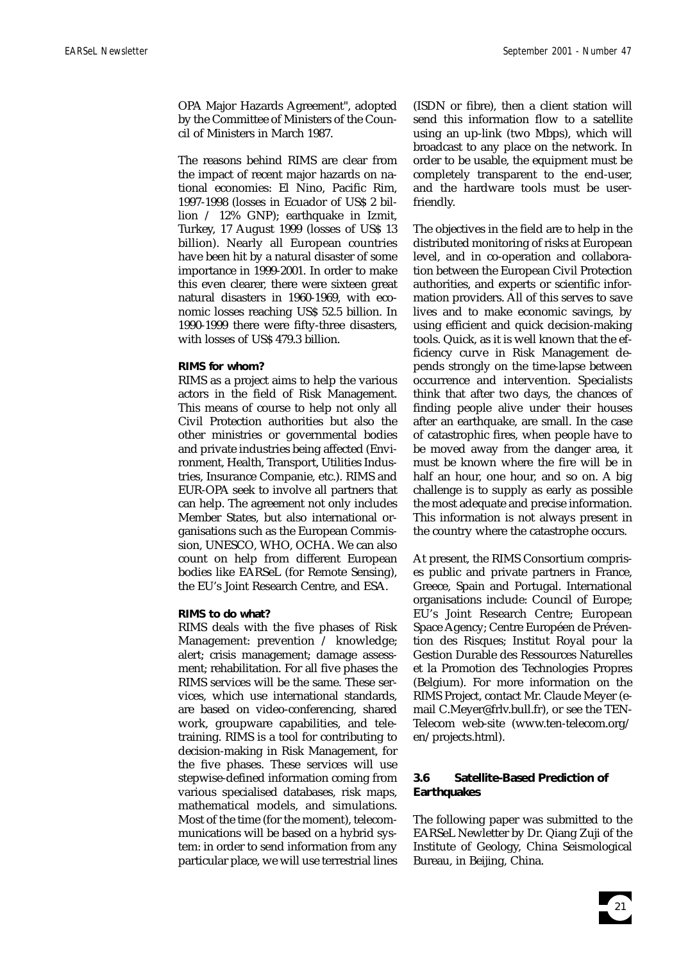OPA Major Hazards Agreement", adopted by the Committee of Ministers of the Council of Ministers in March 1987.

The reasons behind RIMS are clear from the impact of recent major hazards on national economies: El Nino, Pacific Rim, 1997-1998 (losses in Ecuador of US\$ 2 billion / 12% GNP); earthquake in Izmit, Turkey, 17 August 1999 (losses of US\$ 13 billion). Nearly all European countries have been hit by a natural disaster of some importance in 1999-2001. In order to make this even clearer, there were sixteen great natural disasters in 1960-1969, with economic losses reaching US\$ 52.5 billion. In 1990-1999 there were fifty-three disasters, with losses of US\$ 479.3 billion.

### **RIMS for whom?**

RIMS as a project aims to help the various actors in the field of Risk Management. This means of course to help not only all Civil Protection authorities but also the other ministries or governmental bodies and private industries being affected (Environment, Health, Transport, Utilities Industries, Insurance Companie, etc.). RIMS and EUR-OPA seek to involve all partners that can help. The agreement not only includes Member States, but also international organisations such as the European Commission, UNESCO, WHO, OCHA. We can also count on help from different European bodies like EARSeL (for Remote Sensing), the EU's Joint Research Centre, and ESA.

# **RIMS to do what?**

RIMS deals with the five phases of Risk Management: prevention / knowledge; alert; crisis management; damage assessment; rehabilitation. For all five phases the RIMS services will be the same. These services, which use international standards, are based on video-conferencing, shared work, groupware capabilities, and teletraining. RIMS is a tool for contributing to decision-making in Risk Management, for the five phases. These services will use stepwise-defined information coming from various specialised databases, risk maps, mathematical models, and simulations. Most of the time (for the moment), telecommunications will be based on a hybrid system: in order to send information from any particular place, we will use terrestrial lines

(ISDN or fibre), then a client station will send this information flow to a satellite using an up-link (two Mbps), which will broadcast to any place on the network. In order to be usable, the equipment must be completely transparent to the end-user, and the hardware tools must be userfriendly.

The objectives in the field are to help in the distributed monitoring of risks at European level, and in co-operation and collaboration between the European Civil Protection authorities, and experts or scientific information providers. All of this serves to save lives and to make economic savings, by using efficient and quick decision-making tools. Quick, as it is well known that the efficiency curve in Risk Management depends strongly on the time-lapse between occurrence and intervention. Specialists think that after two days, the chances of finding people alive under their houses after an earthquake, are small. In the case of catastrophic fires, when people have to be moved away from the danger area, it must be known where the fire will be in half an hour, one hour, and so on. A big challenge is to supply as early as possible the most adequate and precise information. This information is not always present in the country where the catastrophe occurs.

At present, the RIMS Consortium comprises public and private partners in France, Greece, Spain and Portugal. International organisations include: Council of Europe; EU's Joint Research Centre; European Space Agency; Centre Européen de Prévention des Risques; Institut Royal pour la Gestion Durable des Ressources Naturelles et la Promotion des Technologies Propres (Belgium). For more information on the RIMS Project, contact Mr. Claude Meyer (email C.Meyer@frlv.bull.fr), or see the TEN-Telecom web-site (www.ten-telecom.org/ en/projects.html).

# **3.6 Satellite-Based Prediction of Earthquakes**

The following paper was submitted to the EARSeL Newletter by Dr. Qiang Zuji of the Institute of Geology, China Seismological Bureau, in Beijing, China.

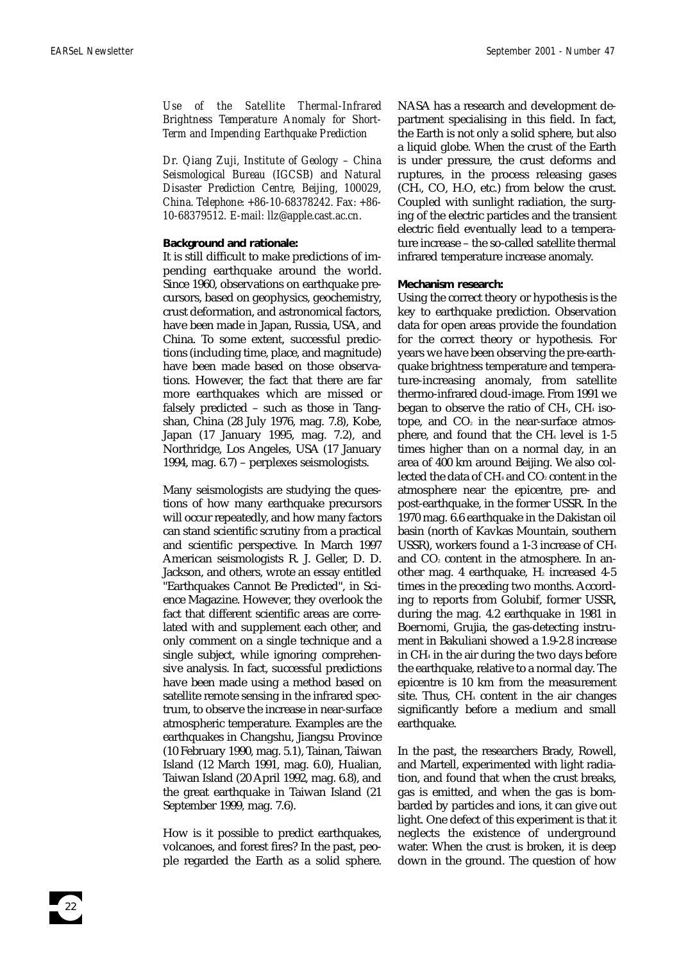*Use of the Satellite Thermal-Infrared Brightness Temperature Anomaly for Short-Term and Impending Earthquake Prediction* 

*Dr. Qiang Zuji, Institute of Geology – China Seismological Bureau (IGCSB) and Natural Disaster Prediction Centre, Beijing, 100029, China. Telephone: +86-10-68378242. Fax: +86- 10-68379512. E-mail: llz@apple.cast.ac.cn.*

#### **Background and rationale:**

It is still difficult to make predictions of impending earthquake around the world. Since 1960, observations on earthquake precursors, based on geophysics, geochemistry, crust deformation, and astronomical factors, have been made in Japan, Russia, USA, and China. To some extent, successful predictions (including time, place, and magnitude) have been made based on those observations. However, the fact that there are far more earthquakes which are missed or falsely predicted – such as those in Tangshan, China (28 July 1976, mag. 7.8), Kobe, Japan (17 January 1995, mag. 7.2), and Northridge, Los Angeles, USA (17 January 1994, mag. 6.7) – perplexes seismologists.

Many seismologists are studying the questions of how many earthquake precursors will occur repeatedly, and how many factors can stand scientific scrutiny from a practical and scientific perspective. In March 1997 American seismologists R. J. Geller, D. D. Jackson, and others, wrote an essay entitled "Earthquakes Cannot Be Predicted", in Science Magazine. However, they overlook the fact that different scientific areas are correlated with and supplement each other, and only comment on a single technique and a single subject, while ignoring comprehensive analysis. In fact, successful predictions have been made using a method based on satellite remote sensing in the infrared spectrum, to observe the increase in near-surface atmospheric temperature. Examples are the earthquakes in Changshu, Jiangsu Province (10 February 1990, mag. 5.1), Tainan, Taiwan Island (12 March 1991, mag. 6.0), Hualian, Taiwan Island (20 April 1992, mag. 6.8), and the great earthquake in Taiwan Island (21 September 1999, mag. 7.6).

How is it possible to predict earthquakes, volcanoes, and forest fires? In the past, people regarded the Earth as a solid sphere. NASA has a research and development department specialising in this field. In fact, the Earth is not only a solid sphere, but also a liquid globe. When the crust of the Earth is under pressure, the crust deforms and ruptures, in the process releasing gases  $(CH<sub>4</sub>, CO, H<sub>2</sub>O, etc.)$  from below the crust. Coupled with sunlight radiation, the surging of the electric particles and the transient electric field eventually lead to a temperature increase – the so-called satellite thermal infrared temperature increase anomaly.

#### **Mechanism research:**

Using the correct theory or hypothesis is the key to earthquake prediction. Observation data for open areas provide the foundation for the correct theory or hypothesis. For years we have been observing the pre-earthquake brightness temperature and temperature-increasing anomaly, from satellite thermo-infrared cloud-image. From 1991 we began to observe the ratio of  $CH<sub>4</sub>$ ,  $CH<sub>4</sub>$  isotope, and  $CO<sub>2</sub>$  in the near-surface atmosphere, and found that the  $CH<sub>4</sub>$  level is 1-5 times higher than on a normal day, in an area of 400 km around Beijing. We also collected the data of  $CH_4$  and  $CO_2$  content in the atmosphere near the epicentre, pre- and post-earthquake, in the former USSR. In the 1970 mag. 6.6 earthquake in the Dakistan oil basin (north of Kavkas Mountain, southern USSR), workers found a 1-3 increase of CH4 and  $CO<sub>2</sub>$  content in the atmosphere. In another mag. 4 earthquake,  $H_2$  increased 4-5 times in the preceding two months. According to reports from Golubif, former USSR, during the mag. 4.2 earthquake in 1981 in Boernomi, Grujia, the gas-detecting instrument in Bakuliani showed a 1.9-2.8 increase in CH4 in the air during the two days before the earthquake, relative to a normal day. The epicentre is 10 km from the measurement site. Thus,  $CH_4$  content in the air changes significantly before a medium and small earthquake.

In the past, the researchers Brady, Rowell, and Martell, experimented with light radiation, and found that when the crust breaks, gas is emitted, and when the gas is bombarded by particles and ions, it can give out light. One defect of this experiment is that it neglects the existence of underground water. When the crust is broken, it is deep down in the ground. The question of how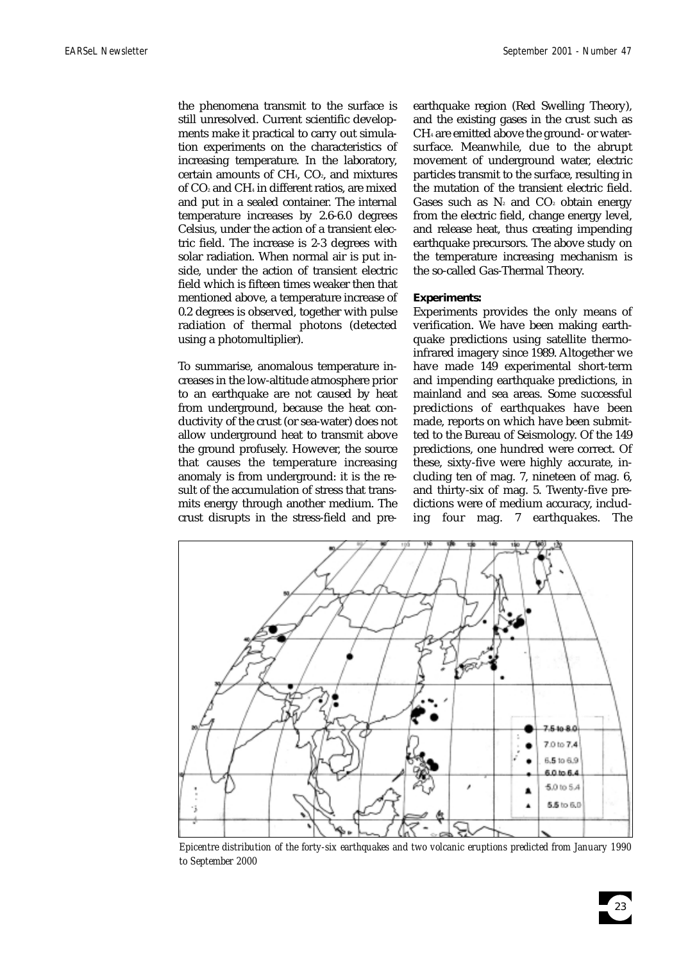the phenomena transmit to the surface is still unresolved. Current scientific developments make it practical to carry out simulation experiments on the characteristics of increasing temperature. In the laboratory, certain amounts of  $CH<sub>4</sub>$ ,  $CO<sub>2</sub>$ , and mixtures of CO2 and CH4 in different ratios, are mixed and put in a sealed container. The internal temperature increases by 2.6-6.0 degrees Celsius, under the action of a transient electric field. The increase is 2-3 degrees with solar radiation. When normal air is put inside, under the action of transient electric field which is fifteen times weaker then that mentioned above, a temperature increase of 0.2 degrees is observed, together with pulse radiation of thermal photons (detected using a photomultiplier).

To summarise, anomalous temperature increases in the low-altitude atmosphere prior to an earthquake are not caused by heat from underground, because the heat conductivity of the crust (or sea-water) does not allow underground heat to transmit above the ground profusely. However, the source that causes the temperature increasing anomaly is from underground: it is the result of the accumulation of stress that transmits energy through another medium. The crust disrupts in the stress-field and preearthquake region (Red Swelling Theory), and the existing gases in the crust such as CH4 are emitted above the ground- or watersurface. Meanwhile, due to the abrupt movement of underground water, electric particles transmit to the surface, resulting in the mutation of the transient electric field. Gases such as  $N_2$  and  $CO_2$  obtain energy from the electric field, change energy level, and release heat, thus creating impending earthquake precursors. The above study on the temperature increasing mechanism is the so-called Gas-Thermal Theory.

# **Experiments:**

Experiments provides the only means of verification. We have been making earthquake predictions using satellite thermoinfrared imagery since 1989. Altogether we have made 149 experimental short-term and impending earthquake predictions, in mainland and sea areas. Some successful predictions of earthquakes have been made, reports on which have been submitted to the Bureau of Seismology. Of the 149 predictions, one hundred were correct. Of these, sixty-five were highly accurate, including ten of mag. 7, nineteen of mag. 6, and thirty-six of mag. 5. Twenty-five predictions were of medium accuracy, including four mag. 7 earthquakes. The



*Epicentre distribution of the forty-six earthquakes and two volcanic eruptions predicted from January 1990 to September 2000*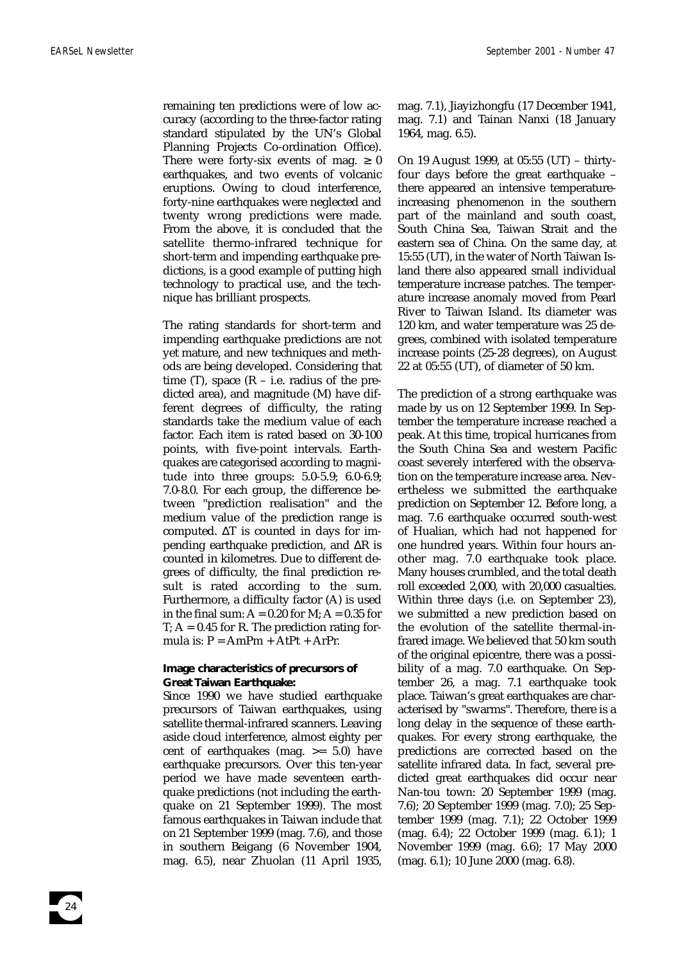remaining ten predictions were of low accuracy (according to the three-factor rating standard stipulated by the UN's Global Planning Projects Co-ordination Office). There were forty-six events of mag.  $\geq 0$ earthquakes, and two events of volcanic eruptions. Owing to cloud interference, forty-nine earthquakes were neglected and twenty wrong predictions were made. From the above, it is concluded that the satellite thermo-infrared technique for short-term and impending earthquake predictions, is a good example of putting high technology to practical use, and the technique has brilliant prospects.

The rating standards for short-term and impending earthquake predictions are not yet mature, and new techniques and methods are being developed. Considering that time  $(T)$ , space  $(R - i.e.$  radius of the predicted area), and magnitude (M) have different degrees of difficulty, the rating standards take the medium value of each factor. Each item is rated based on 30-100 points, with five-point intervals. Earthquakes are categorised according to magnitude into three groups: 5.0-5.9; 6.0-6.9; 7.0-8.0. For each group, the difference between "prediction realisation" and the medium value of the prediction range is computed. ∆T is counted in days for impending earthquake prediction, and ∆R is counted in kilometres. Due to different degrees of difficulty, the final prediction result is rated according to the sum. Furthermore, a difficulty factor (A) is used in the final sum:  $A = 0.20$  for M;  $A = 0.35$  for  $T: A = 0.45$  for R. The prediction rating formula is:  $P = AmPm + AtPt + ArPr$ .

# **Image characteristics of precursors of Great Taiwan Earthquake:**

Since 1990 we have studied earthquake precursors of Taiwan earthquakes, using satellite thermal-infrared scanners. Leaving aside cloud interference, almost eighty per cent of earthquakes (mag. >= 5.0) have earthquake precursors. Over this ten-year period we have made seventeen earthquake predictions (not including the earthquake on 21 September 1999). The most famous earthquakes in Taiwan include that on 21 September 1999 (mag. 7.6), and those in southern Beigang (6 November 1904, mag. 6.5), near Zhuolan (11 April 1935,

mag. 7.1), Jiayizhongfu (17 December 1941, mag. 7.1) and Tainan Nanxi (18 January 1964, mag. 6.5).

On 19 August 1999, at 05:55 (UT) – thirtyfour days before the great earthquake – there appeared an intensive temperatureincreasing phenomenon in the southern part of the mainland and south coast, South China Sea, Taiwan Strait and the eastern sea of China. On the same day, at 15:55 (UT), in the water of North Taiwan Island there also appeared small individual temperature increase patches. The temperature increase anomaly moved from Pearl River to Taiwan Island. Its diameter was 120 km, and water temperature was 25 degrees, combined with isolated temperature increase points (25-28 degrees), on August 22 at 05:55 (UT), of diameter of 50 km.

The prediction of a strong earthquake was made by us on 12 September 1999. In September the temperature increase reached a peak. At this time, tropical hurricanes from the South China Sea and western Pacific coast severely interfered with the observation on the temperature increase area. Nevertheless we submitted the earthquake prediction on September 12. Before long, a mag. 7.6 earthquake occurred south-west of Hualian, which had not happened for one hundred years. Within four hours another mag. 7.0 earthquake took place. Many houses crumbled, and the total death roll exceeded 2,000, with 20,000 casualties. Within three days (i.e. on September 23), we submitted a new prediction based on the evolution of the satellite thermal-infrared image. We believed that 50 km south of the original epicentre, there was a possibility of a mag. 7.0 earthquake. On September 26, a mag. 7.1 earthquake took place. Taiwan's great earthquakes are characterised by "swarms". Therefore, there is a long delay in the sequence of these earthquakes. For every strong earthquake, the predictions are corrected based on the satellite infrared data. In fact, several predicted great earthquakes did occur near Nan-tou town: 20 September 1999 (mag. 7.6); 20 September 1999 (mag. 7.0); 25 September 1999 (mag. 7.1); 22 October 1999 (mag. 6.4); 22 October 1999 (mag. 6.1); 1 November 1999 (mag. 6.6); 17 May 2000 (mag. 6.1); 10 June 2000 (mag. 6.8).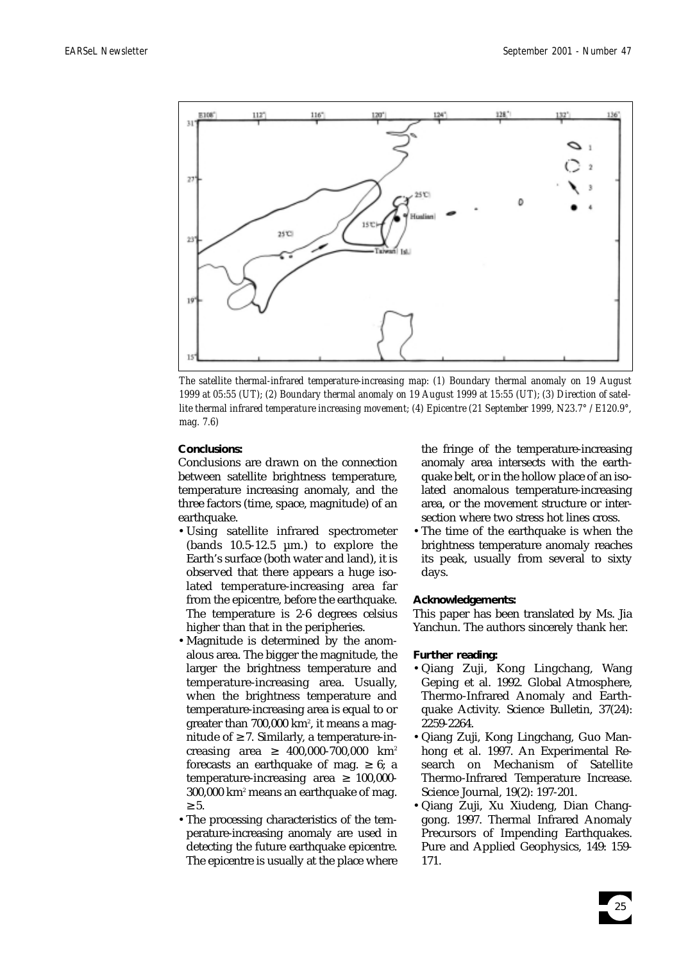

*The satellite thermal-infrared temperature-increasing map: (1) Boundary thermal anomaly on 19 August 1999 at 05:55 (UT); (2) Boundary thermal anomaly on 19 August 1999 at 15:55 (UT); (3) Direction of satellite thermal infrared temperature increasing movement; (4) Epicentre (21 September 1999, N23.7° / E120.9°, mag. 7.6)*

### **Conclusions:**

Conclusions are drawn on the connection between satellite brightness temperature, temperature increasing anomaly, and the three factors (time, space, magnitude) of an earthquake.

- •Using satellite infrared spectrometer (bands  $10.5-12.5 \mu m$ .) to explore the Earth's surface (both water and land), it is observed that there appears a huge isolated temperature-increasing area far from the epicentre, before the earthquake. The temperature is 2-6 degrees celsius higher than that in the peripheries.
- •Magnitude is determined by the anomalous area. The bigger the magnitude, the larger the brightness temperature and temperature-increasing area. Usually, when the brightness temperature and temperature-increasing area is equal to or greater than 700,000 km², it means a magnitude of  $\geq$  7. Similarly, a temperature-increasing area  $\geq 400,000-700,000$  km<sup>2</sup> forecasts an earthquake of mag.  $\geq 6$ ; a temperature-increasing area  $\geq 100,000$ -300,000 km2 means an earthquake of mag.  $\geq 5$ .
- •The processing characteristics of the temperature-increasing anomaly are used in detecting the future earthquake epicentre. The epicentre is usually at the place where

the fringe of the temperature-increasing anomaly area intersects with the earthquake belt, or in the hollow place of an isolated anomalous temperature-increasing area, or the movement structure or intersection where two stress hot lines cross.

•The time of the earthquake is when the brightness temperature anomaly reaches its peak, usually from several to sixty days.

#### **Acknowledgements:**

This paper has been translated by Ms. Jia Yanchun. The authors sincerely thank her.

# **Further reading:**

- •Qiang Zuji, Kong Lingchang, Wang Geping et al. 1992. Global Atmosphere, Thermo-Infrared Anomaly and Earthquake Activity. Science Bulletin, 37(24): 2259-2264.
- •Qiang Zuji, Kong Lingchang, Guo Manhong et al. 1997. An Experimental Research on Mechanism of Satellite Thermo-Infrared Temperature Increase. Science Journal, 19(2): 197-201.
- •Qiang Zuji, Xu Xiudeng, Dian Changgong. 1997. Thermal Infrared Anomaly Precursors of Impending Earthquakes. Pure and Applied Geophysics, 149: 159- 171.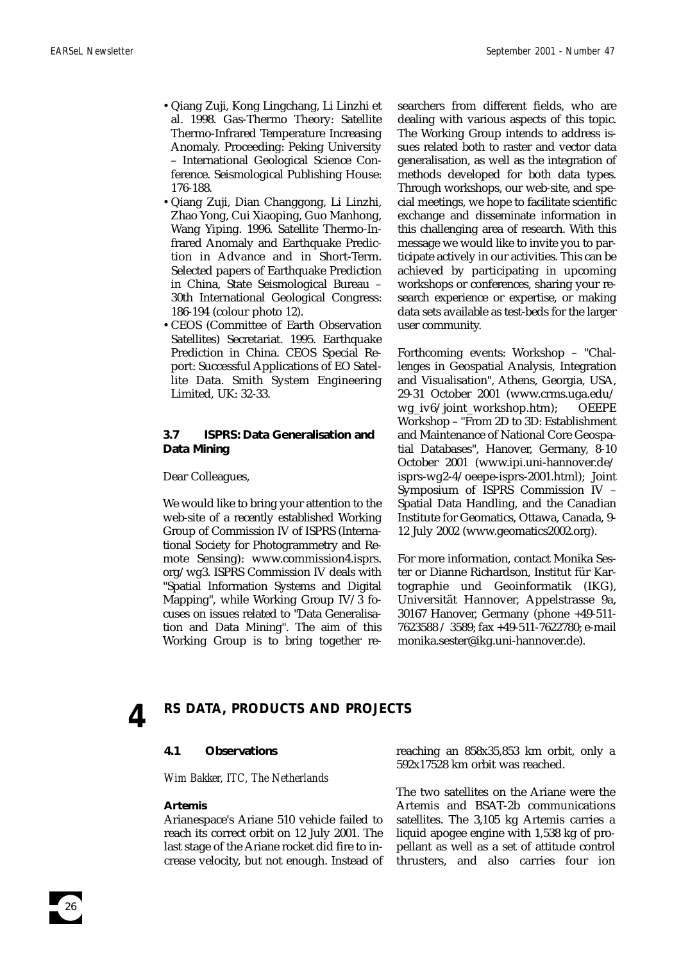- •Qiang Zuji, Kong Lingchang, Li Linzhi et al. 1998. Gas-Thermo Theory: Satellite Thermo-Infrared Temperature Increasing Anomaly. Proceeding: Peking University – International Geological Science Conference. Seismological Publishing House: 176-188.
- •Qiang Zuji, Dian Changgong, Li Linzhi, Zhao Yong, Cui Xiaoping, Guo Manhong, Wang Yiping. 1996. Satellite Thermo-Infrared Anomaly and Earthquake Prediction in Advance and in Short-Term. Selected papers of Earthquake Prediction in China, State Seismological Bureau – 30th International Geological Congress: 186-194 (colour photo 12).
- •CEOS (Committee of Earth Observation Satellites) Secretariat. 1995. Earthquake Prediction in China. CEOS Special Report: Successful Applications of EO Satellite Data. Smith System Engineering Limited, UK: 32-33.

# **3.7 ISPRS: Data Generalisation and Data Mining**

Dear Colleagues,

We would like to bring your attention to the web-site of a recently established Working Group of Commission IV of ISPRS (International Society for Photogrammetry and Remote Sensing): www.commission4.isprs. org/wg3. ISPRS Commission IV deals with "Spatial Information Systems and Digital Mapping", while Working Group IV/3 focuses on issues related to "Data Generalisation and Data Mining". The aim of this Working Group is to bring together researchers from different fields, who are dealing with various aspects of this topic. The Working Group intends to address issues related both to raster and vector data generalisation, as well as the integration of methods developed for both data types. Through workshops, our web-site, and special meetings, we hope to facilitate scientific exchange and disseminate information in this challenging area of research. With this message we would like to invite you to participate actively in our activities. This can be achieved by participating in upcoming workshops or conferences, sharing your research experience or expertise, or making data sets available as test-beds for the larger user community.

Forthcoming events: Workshop – "Challenges in Geospatial Analysis, Integration and Visualisation", Athens, Georgia, USA, 29-31 October 2001 (www.crms.uga.edu/ wg\_iv6/joint\_workshop.htm); OEEPE Workshop – "From 2D to 3D: Establishment and Maintenance of National Core Geospatial Databases", Hanover, Germany, 8-10 October 2001 (www.ipi.uni-hannover.de/ isprs-wg2-4/oeepe-isprs-2001.html); Joint Symposium of ISPRS Commission IV – Spatial Data Handling, and the Canadian Institute for Geomatics, Ottawa, Canada, 9- 12 July 2002 (www.geomatics2002.org).

For more information, contact Monika Sester or Dianne Richardson, Institut für Kartographie und Geoinformatik (IKG), Universität Hannover, Appelstrasse 9a, 30167 Hanover, Germany (phone +49-511- 7623588 / 3589; fax +49-511-7622780; e-mail monika.sester@ikg.uni-hannover.de).

26

# **4 RS DATA, PRODUCTS AND PROJECTS**

# **4.1 Observations**

*Wim Bakker, ITC, The Netherlands*

#### **Artemis**

Arianespace's Ariane 510 vehicle failed to reach its correct orbit on 12 July 2001. The last stage of the Ariane rocket did fire to increase velocity, but not enough. Instead of reaching an 858x35,853 km orbit, only a 592x17528 km orbit was reached.

The two satellites on the Ariane were the Artemis and BSAT-2b communications satellites. The 3,105 kg Artemis carries a liquid apogee engine with 1,538 kg of propellant as well as a set of attitude control thrusters, and also carries four ion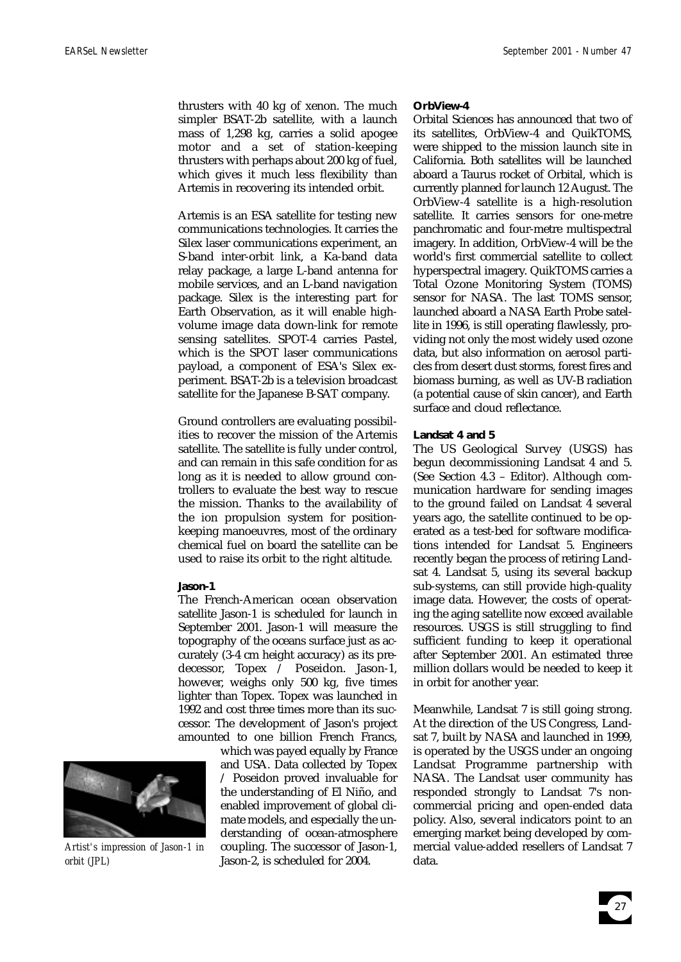thrusters with 40 kg of xenon. The much simpler BSAT-2b satellite, with a launch mass of 1,298 kg, carries a solid apogee motor and a set of station-keeping thrusters with perhaps about 200 kg of fuel, which gives it much less flexibility than Artemis in recovering its intended orbit.

Artemis is an ESA satellite for testing new communications technologies. It carries the Silex laser communications experiment, an S-band inter-orbit link, a Ka-band data relay package, a large L-band antenna for mobile services, and an L-band navigation package. Silex is the interesting part for Earth Observation, as it will enable highvolume image data down-link for remote sensing satellites. SPOT-4 carries Pastel, which is the SPOT laser communications payload, a component of ESA's Silex experiment. BSAT-2b is a television broadcast satellite for the Japanese B-SAT company.

Ground controllers are evaluating possibilities to recover the mission of the Artemis satellite. The satellite is fully under control, and can remain in this safe condition for as long as it is needed to allow ground controllers to evaluate the best way to rescue the mission. Thanks to the availability of the ion propulsion system for positionkeeping manoeuvres, most of the ordinary chemical fuel on board the satellite can be used to raise its orbit to the right altitude.

#### **Jason-1**

The French-American ocean observation satellite Jason-1 is scheduled for launch in September 2001. Jason-1 will measure the topography of the oceans surface just as accurately (3-4 cm height accuracy) as its predecessor, Topex / Poseidon. Jason-1, however, weighs only 500 kg, five times lighter than Topex. Topex was launched in 1992 and cost three times more than its successor. The development of Jason's project amounted to one billion French Francs,

> which was payed equally by France and USA. Data collected by Topex / Poseidon proved invaluable for the understanding of El Niño, and enabled improvement of global climate models, and especially the understanding of ocean-atmosphere coupling. The successor of Jason-1, Jason-2, is scheduled for 2004.

# **OrbView-4**

Orbital Sciences has announced that two of its satellites, OrbView-4 and QuikTOMS, were shipped to the mission launch site in California. Both satellites will be launched aboard a Taurus rocket of Orbital, which is currently planned for launch 12 August. The OrbView-4 satellite is a high-resolution satellite. It carries sensors for one-metre panchromatic and four-metre multispectral imagery. In addition, OrbView-4 will be the world's first commercial satellite to collect hyperspectral imagery. QuikTOMS carries a Total Ozone Monitoring System (TOMS) sensor for NASA. The last TOMS sensor, launched aboard a NASA Earth Probe satellite in 1996, is still operating flawlessly, providing not only the most widely used ozone data, but also information on aerosol particles from desert dust storms, forest fires and biomass burning, as well as UV-B radiation (a potential cause of skin cancer), and Earth surface and cloud reflectance.

#### **Landsat 4 and 5**

The US Geological Survey (USGS) has begun decommissioning Landsat 4 and 5. (See Section 4.3 – Editor). Although communication hardware for sending images to the ground failed on Landsat 4 several years ago, the satellite continued to be operated as a test-bed for software modifications intended for Landsat 5. Engineers recently began the process of retiring Landsat 4. Landsat 5, using its several backup sub-systems, can still provide high-quality image data. However, the costs of operating the aging satellite now exceed available resources. USGS is still struggling to find sufficient funding to keep it operational after September 2001. An estimated three million dollars would be needed to keep it in orbit for another year.

Meanwhile, Landsat 7 is still going strong. At the direction of the US Congress, Landsat 7, built by NASA and launched in 1999, is operated by the USGS under an ongoing Landsat Programme partnership with NASA. The Landsat user community has responded strongly to Landsat 7's noncommercial pricing and open-ended data policy. Also, several indicators point to an emerging market being developed by commercial value-added resellers of Landsat 7 data.



*Artist's impression of Jason-1 in orbit (JPL)*

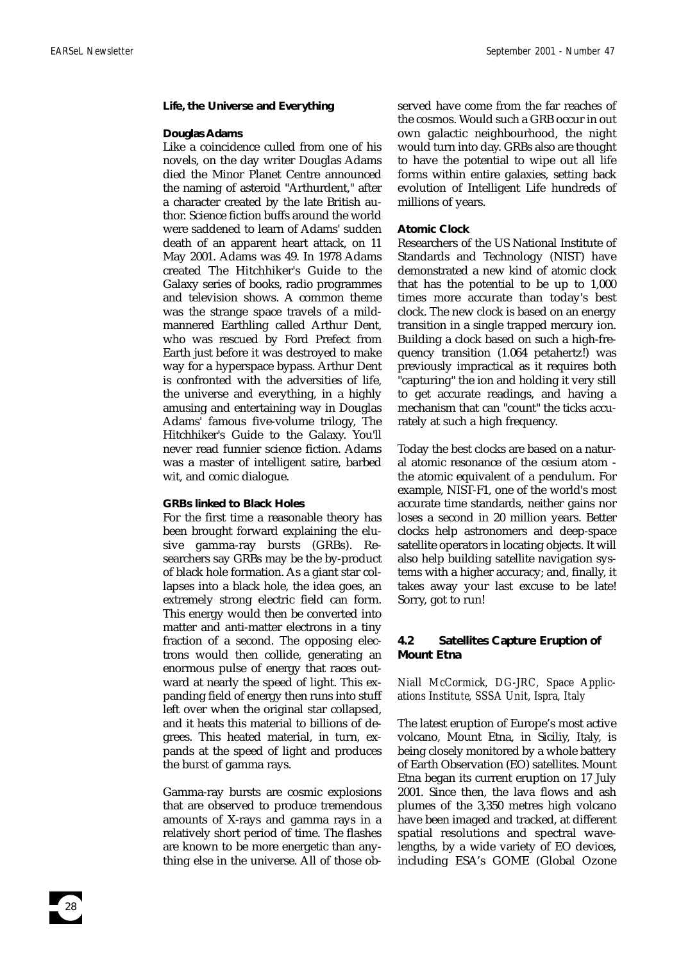#### **Life, the Universe and Everything**

#### **Douglas Adams**

Like a coincidence culled from one of his novels, on the day writer Douglas Adams died the Minor Planet Centre announced the naming of asteroid "Arthurdent," after a character created by the late British author. Science fiction buffs around the world were saddened to learn of Adams' sudden death of an apparent heart attack, on 11 May 2001. Adams was 49. In 1978 Adams created The Hitchhiker's Guide to the Galaxy series of books, radio programmes and television shows. A common theme was the strange space travels of a mildmannered Earthling called Arthur Dent, who was rescued by Ford Prefect from Earth just before it was destroyed to make way for a hyperspace bypass. Arthur Dent is confronted with the adversities of life, the universe and everything, in a highly amusing and entertaining way in Douglas Adams' famous five-volume trilogy, The Hitchhiker's Guide to the Galaxy. You'll never read funnier science fiction. Adams was a master of intelligent satire, barbed wit, and comic dialogue.

#### **GRBs linked to Black Holes**

For the first time a reasonable theory has been brought forward explaining the elusive gamma-ray bursts (GRBs). Researchers say GRBs may be the by-product of black hole formation. As a giant star collapses into a black hole, the idea goes, an extremely strong electric field can form. This energy would then be converted into matter and anti-matter electrons in a tiny fraction of a second. The opposing electrons would then collide, generating an enormous pulse of energy that races outward at nearly the speed of light. This expanding field of energy then runs into stuff left over when the original star collapsed, and it heats this material to billions of degrees. This heated material, in turn, expands at the speed of light and produces the burst of gamma rays.

Gamma-ray bursts are cosmic explosions that are observed to produce tremendous amounts of X-rays and gamma rays in a relatively short period of time. The flashes are known to be more energetic than anything else in the universe. All of those observed have come from the far reaches of the cosmos. Would such a GRB occur in out own galactic neighbourhood, the night would turn into day. GRBs also are thought to have the potential to wipe out all life forms within entire galaxies, setting back evolution of Intelligent Life hundreds of millions of years.

#### **Atomic Clock**

Researchers of the US National Institute of Standards and Technology (NIST) have demonstrated a new kind of atomic clock that has the potential to be up to 1,000 times more accurate than today's best clock. The new clock is based on an energy transition in a single trapped mercury ion. Building a clock based on such a high-frequency transition (1.064 petahertz!) was previously impractical as it requires both "capturing" the ion and holding it very still to get accurate readings, and having a mechanism that can "count" the ticks accurately at such a high frequency.

Today the best clocks are based on a natural atomic resonance of the cesium atom the atomic equivalent of a pendulum. For example, NIST-F1, one of the world's most accurate time standards, neither gains nor loses a second in 20 million years. Better clocks help astronomers and deep-space satellite operators in locating objects. It will also help building satellite navigation systems with a higher accuracy; and, finally, it takes away your last excuse to be late! Sorry, got to run!

# **4.2 Satellites Capture Eruption of Mount Etna**

# *Niall McCormick, DG-JRC, Space Applications Institute, SSSA Unit, Ispra, Italy*

The latest eruption of Europe's most active volcano, Mount Etna, in Siciliy, Italy, is being closely monitored by a whole battery of Earth Observation (EO) satellites. Mount Etna began its current eruption on 17 July 2001. Since then, the lava flows and ash plumes of the 3,350 metres high volcano have been imaged and tracked, at different spatial resolutions and spectral wavelengths, by a wide variety of EO devices, including ESA's GOME (Global Ozone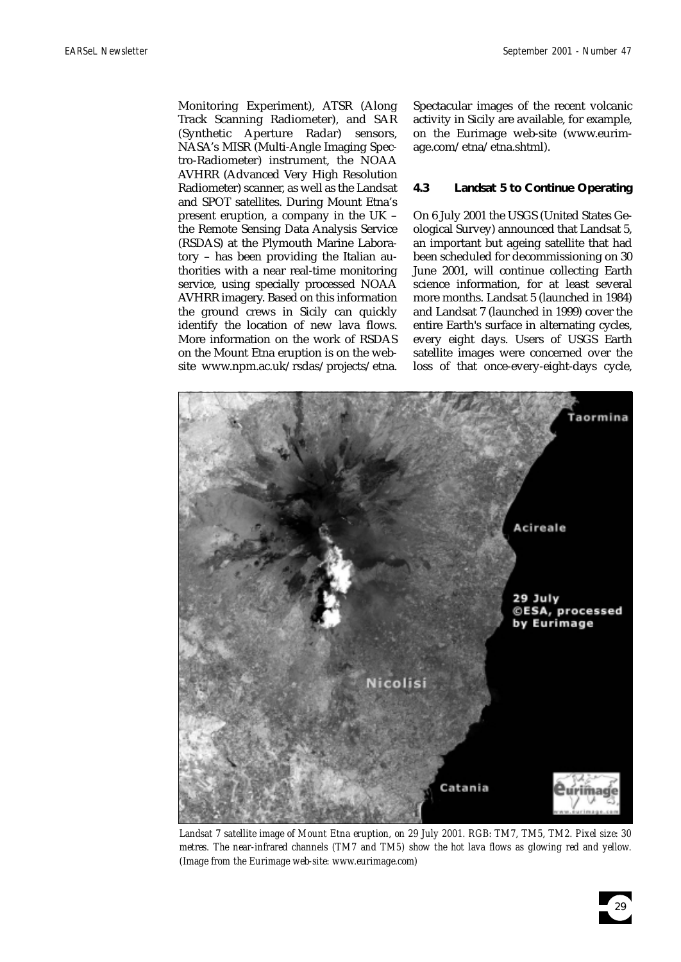Monitoring Experiment), ATSR (Along Track Scanning Radiometer), and SAR (Synthetic Aperture Radar) sensors, NASA's MISR (Multi-Angle Imaging Spectro-Radiometer) instrument, the NOAA AVHRR (Advanced Very High Resolution Radiometer) scanner, as well as the Landsat and SPOT satellites. During Mount Etna's present eruption, a company in the UK – the Remote Sensing Data Analysis Service (RSDAS) at the Plymouth Marine Laboratory – has been providing the Italian authorities with a near real-time monitoring service, using specially processed NOAA AVHRR imagery. Based on this information the ground crews in Sicily can quickly identify the location of new lava flows. More information on the work of RSDAS on the Mount Etna eruption is on the website www.npm.ac.uk/rsdas/projects/etna.

Spectacular images of the recent volcanic activity in Sicily are available, for example, on the Eurimage web-site (www.eurimage.com/etna/etna.shtml).

## **4.3 Landsat 5 to Continue Operating**

On 6 July 2001 the USGS (United States Geological Survey) announced that Landsat 5, an important but ageing satellite that had been scheduled for decommissioning on 30 June 2001, will continue collecting Earth science information, for at least several more months. Landsat 5 (launched in 1984) and Landsat 7 (launched in 1999) cover the entire Earth's surface in alternating cycles, every eight days. Users of USGS Earth satellite images were concerned over the loss of that once-every-eight-days cycle,



*Landsat 7 satellite image of Mount Etna eruption, on 29 July 2001. RGB: TM7, TM5, TM2. Pixel size: 30 metres. The near-infrared channels (TM7 and TM5) show the hot lava flows as glowing red and yellow. (Image from the Eurimage web-site: www.eurimage.com)*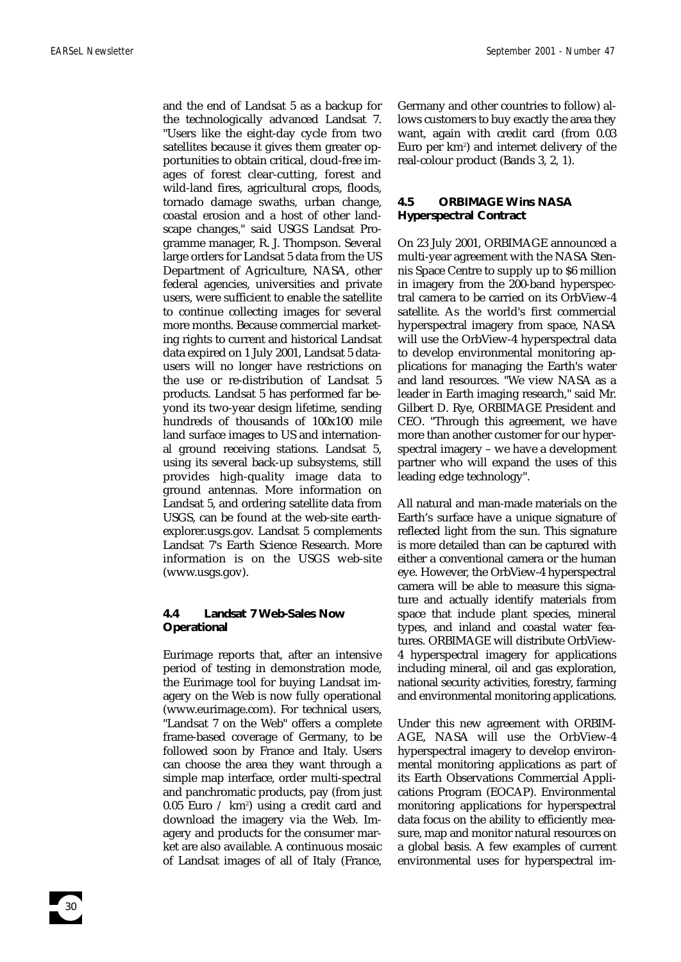and the end of Landsat 5 as a backup for the technologically advanced Landsat 7. "Users like the eight-day cycle from two satellites because it gives them greater opportunities to obtain critical, cloud-free images of forest clear-cutting, forest and wild-land fires, agricultural crops, floods, tornado damage swaths, urban change, coastal erosion and a host of other landscape changes," said USGS Landsat Programme manager, R. J. Thompson. Several large orders for Landsat 5 data from the US Department of Agriculture, NASA, other federal agencies, universities and private users, were sufficient to enable the satellite to continue collecting images for several more months. Because commercial marketing rights to current and historical Landsat data expired on 1 July 2001, Landsat 5 datausers will no longer have restrictions on the use or re-distribution of Landsat 5 products. Landsat 5 has performed far beyond its two-year design lifetime, sending hundreds of thousands of 100x100 mile land surface images to US and international ground receiving stations. Landsat 5, using its several back-up subsystems, still provides high-quality image data to ground antennas. More information on Landsat 5, and ordering satellite data from USGS, can be found at the web-site earthexplorer.usgs.gov. Landsat 5 complements Landsat 7's Earth Science Research. More information is on the USGS web-site (www.usgs.gov).

# **4.4 Landsat 7 Web-Sales Now Operational**

Eurimage reports that, after an intensive period of testing in demonstration mode, the Eurimage tool for buying Landsat imagery on the Web is now fully operational (www.eurimage.com). For technical users, "Landsat 7 on the Web" offers a complete frame-based coverage of Germany, to be followed soon by France and Italy. Users can choose the area they want through a simple map interface, order multi-spectral and panchromatic products, pay (from just  $0.05\,$  Euro  $\,/\,$  km²) using a credit card and download the imagery via the Web. Imagery and products for the consumer market are also available. A continuous mosaic of Landsat images of all of Italy (France, Germany and other countries to follow) allows customers to buy exactly the area they want, again with credit card (from 0.03 Euro per km<sup>2</sup>) and internet delivery of the real-colour product (Bands 3, 2, 1).

# **4.5 ORBIMAGE Wins NASA Hyperspectral Contract**

On 23 July 2001, ORBIMAGE announced a multi-year agreement with the NASA Stennis Space Centre to supply up to \$6 million in imagery from the 200-band hyperspectral camera to be carried on its OrbView-4 satellite. As the world's first commercial hyperspectral imagery from space, NASA will use the OrbView-4 hyperspectral data to develop environmental monitoring applications for managing the Earth's water and land resources. "We view NASA as a leader in Earth imaging research," said Mr. Gilbert D. Rye, ORBIMAGE President and CEO. "Through this agreement, we have more than another customer for our hyperspectral imagery – we have a development partner who will expand the uses of this leading edge technology".

All natural and man-made materials on the Earth's surface have a unique signature of reflected light from the sun. This signature is more detailed than can be captured with either a conventional camera or the human eye. However, the OrbView-4 hyperspectral camera will be able to measure this signature and actually identify materials from space that include plant species, mineral types, and inland and coastal water features. ORBIMAGE will distribute OrbView-4 hyperspectral imagery for applications including mineral, oil and gas exploration, national security activities, forestry, farming and environmental monitoring applications.

Under this new agreement with ORBIM-AGE, NASA will use the OrbView-4 hyperspectral imagery to develop environmental monitoring applications as part of its Earth Observations Commercial Applications Program (EOCAP). Environmental monitoring applications for hyperspectral data focus on the ability to efficiently measure, map and monitor natural resources on a global basis. A few examples of current environmental uses for hyperspectral im-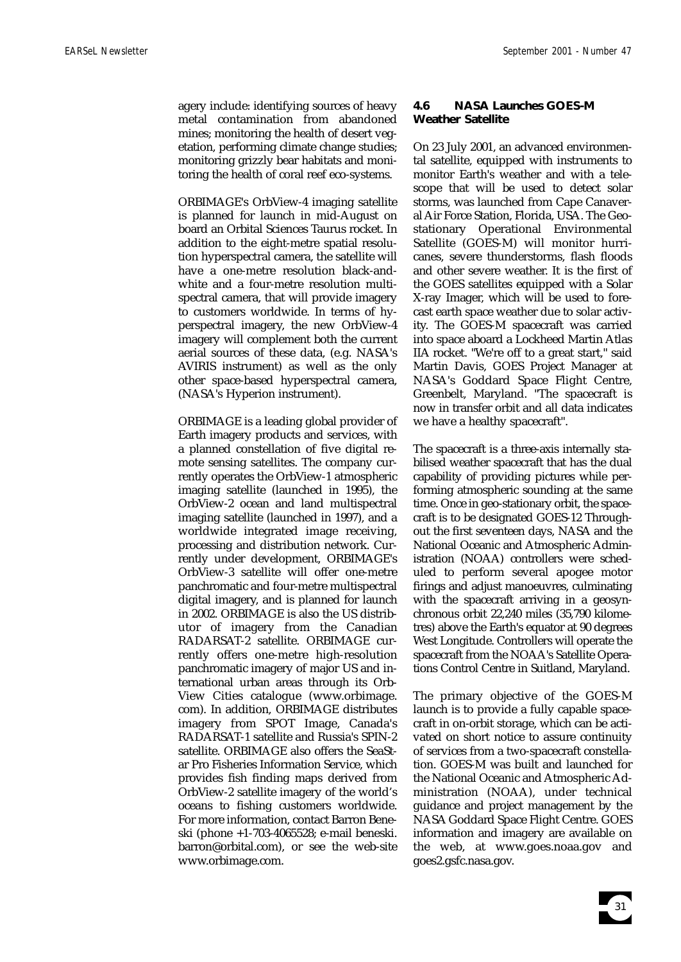agery include: identifying sources of heavy metal contamination from abandoned mines; monitoring the health of desert vegetation, performing climate change studies; monitoring grizzly bear habitats and monitoring the health of coral reef eco-systems.

ORBIMAGE's OrbView-4 imaging satellite is planned for launch in mid-August on board an Orbital Sciences Taurus rocket. In addition to the eight-metre spatial resolution hyperspectral camera, the satellite will have a one-metre resolution black-andwhite and a four-metre resolution multispectral camera, that will provide imagery to customers worldwide. In terms of hyperspectral imagery, the new OrbView-4 imagery will complement both the current aerial sources of these data, (e.g. NASA's AVIRIS instrument) as well as the only other space-based hyperspectral camera, (NASA's Hyperion instrument).

ORBIMAGE is a leading global provider of Earth imagery products and services, with a planned constellation of five digital remote sensing satellites. The company currently operates the OrbView-1 atmospheric imaging satellite (launched in 1995), the OrbView-2 ocean and land multispectral imaging satellite (launched in 1997), and a worldwide integrated image receiving, processing and distribution network. Currently under development, ORBIMAGE's OrbView-3 satellite will offer one-metre panchromatic and four-metre multispectral digital imagery, and is planned for launch in 2002. ORBIMAGE is also the US distributor of imagery from the Canadian RADARSAT-2 satellite. ORBIMAGE currently offers one-metre high-resolution panchromatic imagery of major US and international urban areas through its Orb-View Cities catalogue (www.orbimage. com). In addition, ORBIMAGE distributes imagery from SPOT Image, Canada's RADARSAT-1 satellite and Russia's SPIN-2 satellite. ORBIMAGE also offers the SeaStar Pro Fisheries Information Service, which provides fish finding maps derived from OrbView-2 satellite imagery of the world's oceans to fishing customers worldwide. For more information, contact Barron Beneski (phone +1-703-4065528; e-mail beneski. barron@orbital.com), or see the web-site www.orbimage.com.

# **4.6 NASA Launches GOES-M Weather Satellite**

On 23 July 2001, an advanced environmental satellite, equipped with instruments to monitor Earth's weather and with a telescope that will be used to detect solar storms, was launched from Cape Canaveral Air Force Station, Florida, USA. The Geostationary Operational Environmental Satellite (GOES-M) will monitor hurricanes, severe thunderstorms, flash floods and other severe weather. It is the first of the GOES satellites equipped with a Solar X-ray Imager, which will be used to forecast earth space weather due to solar activity. The GOES-M spacecraft was carried into space aboard a Lockheed Martin Atlas IIA rocket. "We're off to a great start," said Martin Davis, GOES Project Manager at NASA's Goddard Space Flight Centre, Greenbelt, Maryland. "The spacecraft is now in transfer orbit and all data indicates we have a healthy spacecraft".

The spacecraft is a three-axis internally stabilised weather spacecraft that has the dual capability of providing pictures while performing atmospheric sounding at the same time. Once in geo-stationary orbit, the spacecraft is to be designated GOES-12 Throughout the first seventeen days, NASA and the National Oceanic and Atmospheric Administration (NOAA) controllers were scheduled to perform several apogee motor firings and adjust manoeuvres, culminating with the spacecraft arriving in a geosynchronous orbit 22,240 miles (35,790 kilometres) above the Earth's equator at 90 degrees West Longitude. Controllers will operate the spacecraft from the NOAA's Satellite Operations Control Centre in Suitland, Maryland.

The primary objective of the GOES-M launch is to provide a fully capable spacecraft in on-orbit storage, which can be activated on short notice to assure continuity of services from a two-spacecraft constellation. GOES-M was built and launched for the National Oceanic and Atmospheric Administration (NOAA), under technical guidance and project management by the NASA Goddard Space Flight Centre. GOES information and imagery are available on the web, at www.goes.noaa.gov and goes2.gsfc.nasa.gov.

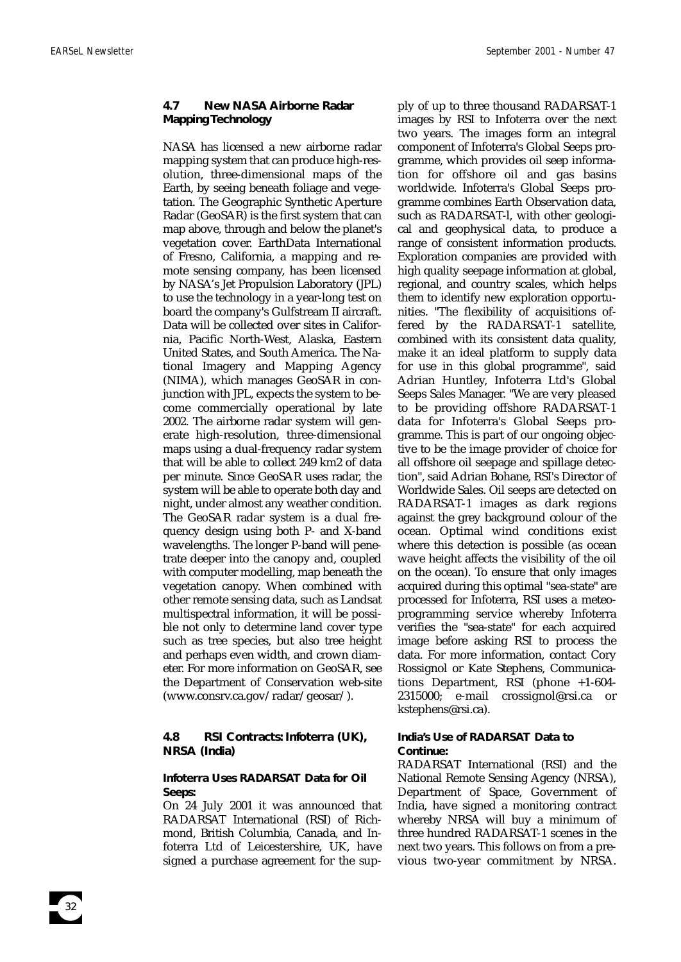# **4.7 New NASA Airborne Radar Mapping Technology**

NASA has licensed a new airborne radar mapping system that can produce high-resolution, three-dimensional maps of the Earth, by seeing beneath foliage and vegetation. The Geographic Synthetic Aperture Radar (GeoSAR) is the first system that can map above, through and below the planet's vegetation cover. EarthData International of Fresno, California, a mapping and remote sensing company, has been licensed by NASA's Jet Propulsion Laboratory (JPL) to use the technology in a year-long test on board the company's Gulfstream II aircraft. Data will be collected over sites in California, Pacific North-West, Alaska, Eastern United States, and South America. The National Imagery and Mapping Agency (NIMA), which manages GeoSAR in conjunction with JPL, expects the system to become commercially operational by late 2002. The airborne radar system will generate high-resolution, three-dimensional maps using a dual-frequency radar system that will be able to collect 249 km2 of data per minute. Since GeoSAR uses radar, the system will be able to operate both day and night, under almost any weather condition. The GeoSAR radar system is a dual frequency design using both P- and X-band wavelengths. The longer P-band will penetrate deeper into the canopy and, coupled with computer modelling, map beneath the vegetation canopy. When combined with other remote sensing data, such as Landsat multispectral information, it will be possible not only to determine land cover type such as tree species, but also tree height and perhaps even width, and crown diameter. For more information on GeoSAR, see the Department of Conservation web-site (www.consrv.ca.gov/radar/geosar/).

# **4.8 RSI Contracts: Infoterra (UK), NRSA (India)**

# **Infoterra Uses RADARSAT Data for Oil Seeps:**

On 24 July 2001 it was announced that RADARSAT International (RSI) of Richmond, British Columbia, Canada, and Infoterra Ltd of Leicestershire, UK, have signed a purchase agreement for the supply of up to three thousand RADARSAT-1 images by RSI to Infoterra over the next two years. The images form an integral component of Infoterra's Global Seeps programme, which provides oil seep information for offshore oil and gas basins worldwide. Infoterra's Global Seeps programme combines Earth Observation data, such as RADARSAT-l, with other geological and geophysical data, to produce a range of consistent information products. Exploration companies are provided with high quality seepage information at global, regional, and country scales, which helps them to identify new exploration opportunities. "The flexibility of acquisitions offered by the RADARSAT-1 satellite, combined with its consistent data quality, make it an ideal platform to supply data for use in this global programme", said Adrian Huntley, Infoterra Ltd's Global Seeps Sales Manager. "We are very pleased to be providing offshore RADARSAT-1 data for Infoterra's Global Seeps programme. This is part of our ongoing objective to be the image provider of choice for all offshore oil seepage and spillage detection", said Adrian Bohane, RSI's Director of Worldwide Sales. Oil seeps are detected on RADARSAT-1 images as dark regions against the grey background colour of the ocean. Optimal wind conditions exist where this detection is possible (as ocean wave height affects the visibility of the oil on the ocean). To ensure that only images acquired during this optimal "sea-state" are processed for Infoterra, RSI uses a meteoprogramming service whereby Infoterra verifies the "sea-state" for each acquired image before asking RSI to process the data. For more information, contact Cory Rossignol or Kate Stephens, Communications Department, RSI (phone +1-604- 2315000; e-mail crossignol@rsi.ca or kstephens@rsi.ca).

# **India's Use of RADARSAT Data to Continue:**

RADARSAT International (RSI) and the National Remote Sensing Agency (NRSA), Department of Space, Government of India, have signed a monitoring contract whereby NRSA will buy a minimum of three hundred RADARSAT-1 scenes in the next two years. This follows on from a previous two-year commitment by NRSA.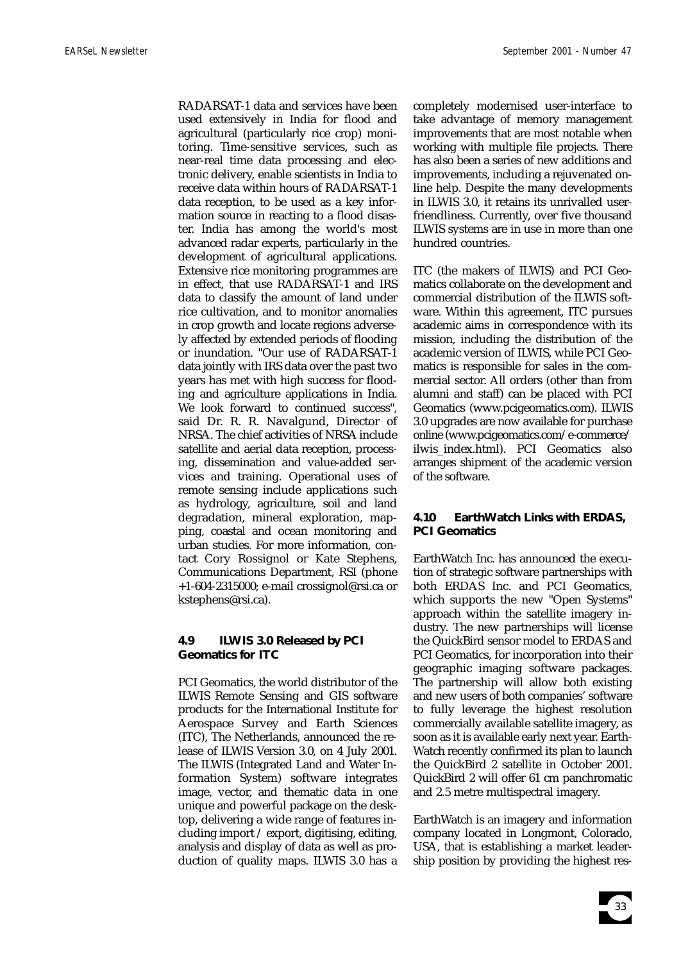RADARSAT-1 data and services have been used extensively in India for flood and agricultural (particularly rice crop) monitoring. Time-sensitive services, such as near-real time data processing and electronic delivery, enable scientists in India to receive data within hours of RADARSAT-1 data reception, to be used as a key information source in reacting to a flood disaster. India has among the world's most advanced radar experts, particularly in the development of agricultural applications. Extensive rice monitoring programmes are in effect, that use RADARSAT-1 and IRS data to classify the amount of land under rice cultivation, and to monitor anomalies in crop growth and locate regions adversely affected by extended periods of flooding or inundation. "Our use of RADARSAT-1 data jointly with IRS data over the past two years has met with high success for flooding and agriculture applications in India. We look forward to continued success", said Dr. R. R. Navalgund, Director of NRSA. The chief activities of NRSA include satellite and aerial data reception, processing, dissemination and value-added services and training. Operational uses of remote sensing include applications such as hydrology, agriculture, soil and land degradation, mineral exploration, mapping, coastal and ocean monitoring and urban studies. For more information, contact Cory Rossignol or Kate Stephens, Communications Department, RSI (phone +1-604-2315000; e-mail crossignol@rsi.ca or kstephens@rsi.ca).

# **4.9 ILWIS 3.0 Released by PCI Geomatics for ITC**

PCI Geomatics, the world distributor of the ILWIS Remote Sensing and GIS software products for the International Institute for Aerospace Survey and Earth Sciences (ITC), The Netherlands, announced the release of ILWIS Version 3.0, on 4 July 2001. The ILWIS (Integrated Land and Water Information System) software integrates image, vector, and thematic data in one unique and powerful package on the desktop, delivering a wide range of features including import / export, digitising, editing, analysis and display of data as well as production of quality maps. ILWIS 3.0 has a

completely modernised user-interface to take advantage of memory management improvements that are most notable when working with multiple file projects. There has also been a series of new additions and improvements, including a rejuvenated online help. Despite the many developments in ILWIS 3.0, it retains its unrivalled userfriendliness. Currently, over five thousand ILWIS systems are in use in more than one hundred countries.

ITC (the makers of ILWIS) and PCI Geomatics collaborate on the development and commercial distribution of the ILWIS software. Within this agreement, ITC pursues academic aims in correspondence with its mission, including the distribution of the academic version of ILWIS, while PCI Geomatics is responsible for sales in the commercial sector. All orders (other than from alumni and staff) can be placed with PCI Geomatics (www.pcigeomatics.com). ILWIS 3.0 upgrades are now available for purchase online (www.pcigeomatics.com/e-commerce/ ilwis\_index.html). PCI Geomatics also arranges shipment of the academic version of the software.

# **4.10 EarthWatch Links with ERDAS, PCI Geomatics**

EarthWatch Inc. has announced the execution of strategic software partnerships with both ERDAS Inc. and PCI Geomatics, which supports the new "Open Systems" approach within the satellite imagery industry. The new partnerships will license the QuickBird sensor model to ERDAS and PCI Geomatics, for incorporation into their geographic imaging software packages. The partnership will allow both existing and new users of both companies' software to fully leverage the highest resolution commercially available satellite imagery, as soon as it is available early next year. Earth-Watch recently confirmed its plan to launch the QuickBird 2 satellite in October 2001. QuickBird 2 will offer 61 cm panchromatic and 2.5 metre multispectral imagery.

EarthWatch is an imagery and information company located in Longmont, Colorado, USA, that is establishing a market leadership position by providing the highest res-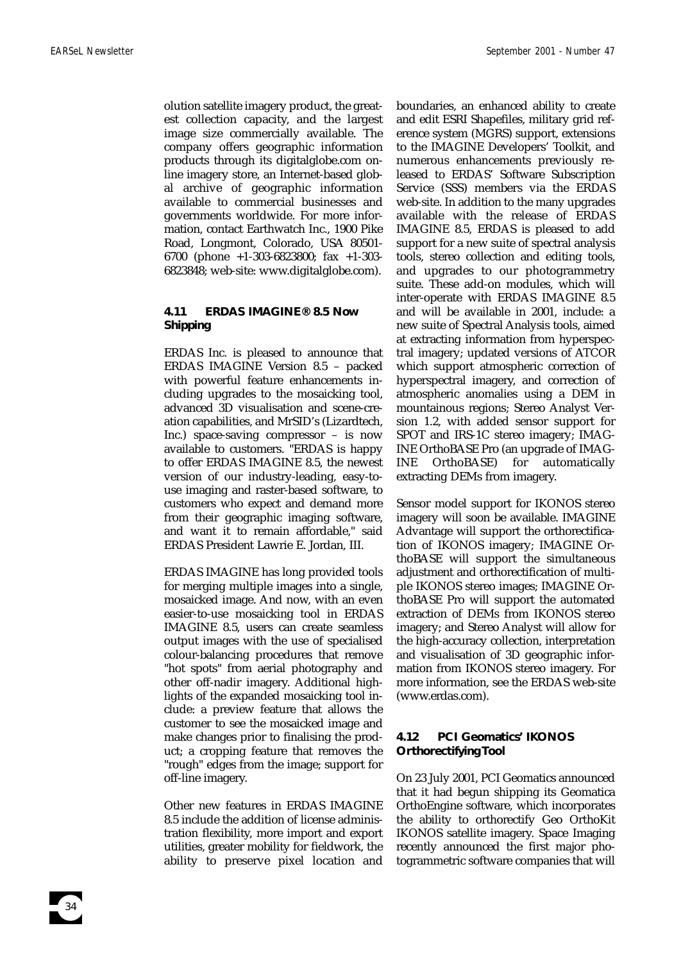olution satellite imagery product, the greatest collection capacity, and the largest image size commercially available. The company offers geographic information products through its digitalglobe.com online imagery store, an Internet-based global archive of geographic information available to commercial businesses and governments worldwide. For more information, contact Earthwatch Inc., 1900 Pike Road, Longmont, Colorado, USA 80501- 6700 (phone +1-303-6823800; fax +1-303- 6823848; web-site: www.digitalglobe.com).

## **4.11 ERDAS IMAGINE® 8.5 Now Shipping**

ERDAS Inc. is pleased to announce that ERDAS IMAGINE Version 8.5 – packed with powerful feature enhancements including upgrades to the mosaicking tool, advanced 3D visualisation and scene-creation capabilities, and MrSID's (Lizardtech, Inc.) space-saving compressor – is now available to customers. "ERDAS is happy to offer ERDAS IMAGINE 8.5, the newest version of our industry-leading, easy-touse imaging and raster-based software, to customers who expect and demand more from their geographic imaging software, and want it to remain affordable," said ERDAS President Lawrie E. Jordan, III.

ERDAS IMAGINE has long provided tools for merging multiple images into a single, mosaicked image. And now, with an even easier-to-use mosaicking tool in ERDAS IMAGINE 8.5, users can create seamless output images with the use of specialised colour-balancing procedures that remove "hot spots" from aerial photography and other off-nadir imagery. Additional highlights of the expanded mosaicking tool include: a preview feature that allows the customer to see the mosaicked image and make changes prior to finalising the product; a cropping feature that removes the "rough" edges from the image; support for off-line imagery.

Other new features in ERDAS IMAGINE 8.5 include the addition of license administration flexibility, more import and export utilities, greater mobility for fieldwork, the ability to preserve pixel location and

boundaries, an enhanced ability to create and edit ESRI Shapefiles, military grid reference system (MGRS) support, extensions to the IMAGINE Developers' Toolkit, and numerous enhancements previously released to ERDAS' Software Subscription Service (SSS) members via the ERDAS web-site. In addition to the many upgrades available with the release of ERDAS IMAGINE 8.5, ERDAS is pleased to add support for a new suite of spectral analysis tools, stereo collection and editing tools, and upgrades to our photogrammetry suite. These add-on modules, which will inter-operate with ERDAS IMAGINE 8.5 and will be available in 2001, include: a new suite of Spectral Analysis tools, aimed at extracting information from hyperspectral imagery; updated versions of ATCOR which support atmospheric correction of hyperspectral imagery, and correction of atmospheric anomalies using a DEM in mountainous regions; Stereo Analyst Version 1.2, with added sensor support for SPOT and IRS-1C stereo imagery; IMAG-INE OrthoBASE Pro (an upgrade of IMAG-INE OrthoBASE) for automatically extracting DEMs from imagery.

Sensor model support for IKONOS stereo imagery will soon be available. IMAGINE Advantage will support the orthorectification of IKONOS imagery; IMAGINE OrthoBASE will support the simultaneous adjustment and orthorectification of multiple IKONOS stereo images; IMAGINE OrthoBASE Pro will support the automated extraction of DEMs from IKONOS stereo imagery; and Stereo Analyst will allow for the high-accuracy collection, interpretation and visualisation of 3D geographic information from IKONOS stereo imagery. For more information, see the ERDAS web-site (www.erdas.com).

# **4.12 PCI Geomatics' IKONOS Orthorectifying Tool**

On 23 July 2001, PCI Geomatics announced that it had begun shipping its Geomatica OrthoEngine software, which incorporates the ability to orthorectify Geo OrthoKit IKONOS satellite imagery. Space Imaging recently announced the first major photogrammetric software companies that will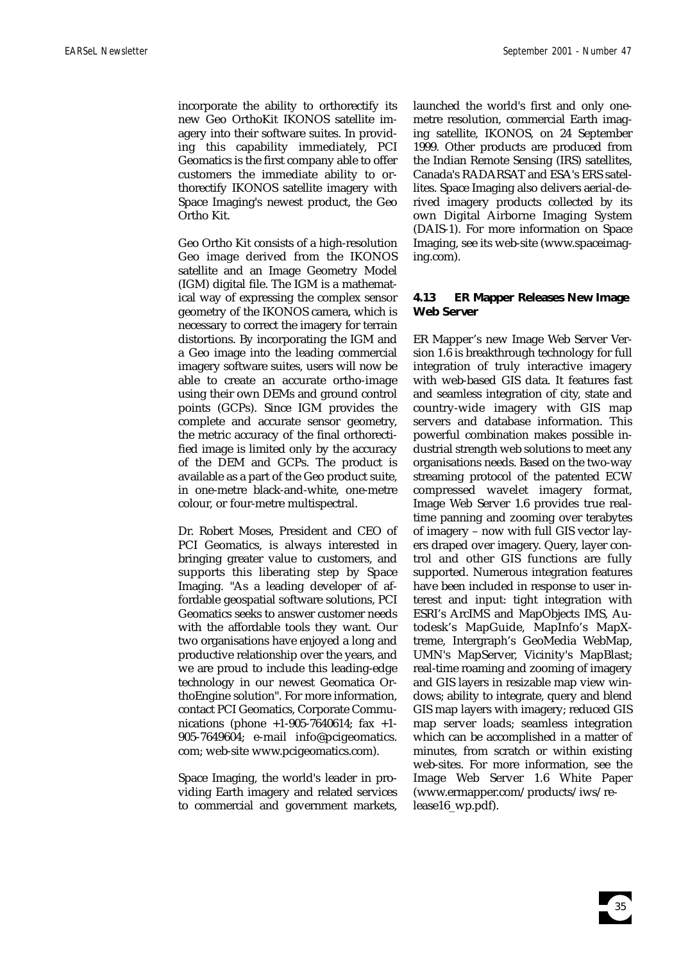incorporate the ability to orthorectify its new Geo OrthoKit IKONOS satellite imagery into their software suites. In providing this capability immediately, PCI Geomatics is the first company able to offer customers the immediate ability to orthorectify IKONOS satellite imagery with Space Imaging's newest product, the Geo Ortho Kit.

Geo Ortho Kit consists of a high-resolution Geo image derived from the IKONOS satellite and an Image Geometry Model (IGM) digital file. The IGM is a mathematical way of expressing the complex sensor geometry of the IKONOS camera, which is necessary to correct the imagery for terrain distortions. By incorporating the IGM and a Geo image into the leading commercial imagery software suites, users will now be able to create an accurate ortho-image using their own DEMs and ground control points (GCPs). Since IGM provides the complete and accurate sensor geometry, the metric accuracy of the final orthorectified image is limited only by the accuracy of the DEM and GCPs. The product is available as a part of the Geo product suite, in one-metre black-and-white, one-metre colour, or four-metre multispectral.

Dr. Robert Moses, President and CEO of PCI Geomatics, is always interested in bringing greater value to customers, and supports this liberating step by Space Imaging. "As a leading developer of affordable geospatial software solutions, PCI Geomatics seeks to answer customer needs with the affordable tools they want. Our two organisations have enjoyed a long and productive relationship over the years, and we are proud to include this leading-edge technology in our newest Geomatica OrthoEngine solution". For more information, contact PCI Geomatics, Corporate Communications (phone +1-905-7640614; fax +1- 905-7649604; e-mail info@pcigeomatics. com; web-site www.pcigeomatics.com).

Space Imaging, the world's leader in providing Earth imagery and related services to commercial and government markets, launched the world's first and only onemetre resolution, commercial Earth imaging satellite, IKONOS, on 24 September 1999. Other products are produced from the Indian Remote Sensing (IRS) satellites, Canada's RADARSAT and ESA's ERS satellites. Space Imaging also delivers aerial-derived imagery products collected by its own Digital Airborne Imaging System (DAIS-1). For more information on Space Imaging, see its web-site (www.spaceimaging.com).

# **4.13 ER Mapper Releases New Image Web Server**

ER Mapper's new Image Web Server Version 1.6 is breakthrough technology for full integration of truly interactive imagery with web-based GIS data. It features fast and seamless integration of city, state and country-wide imagery with GIS map servers and database information. This powerful combination makes possible industrial strength web solutions to meet any organisations needs. Based on the two-way streaming protocol of the patented ECW compressed wavelet imagery format, Image Web Server 1.6 provides true realtime panning and zooming over terabytes of imagery – now with full GIS vector layers draped over imagery. Query, layer control and other GIS functions are fully supported. Numerous integration features have been included in response to user interest and input: tight integration with ESRI's ArcIMS and MapObjects IMS, Autodesk's MapGuide, MapInfo's MapXtreme, Intergraph's GeoMedia WebMap, UMN's MapServer, Vicinity's MapBlast; real-time roaming and zooming of imagery and GIS layers in resizable map view windows; ability to integrate, query and blend GIS map layers with imagery; reduced GIS map server loads; seamless integration which can be accomplished in a matter of minutes, from scratch or within existing web-sites. For more information, see the Image Web Server 1.6 White Paper (www.ermapper.com/products/iws/release16\_wp.pdf).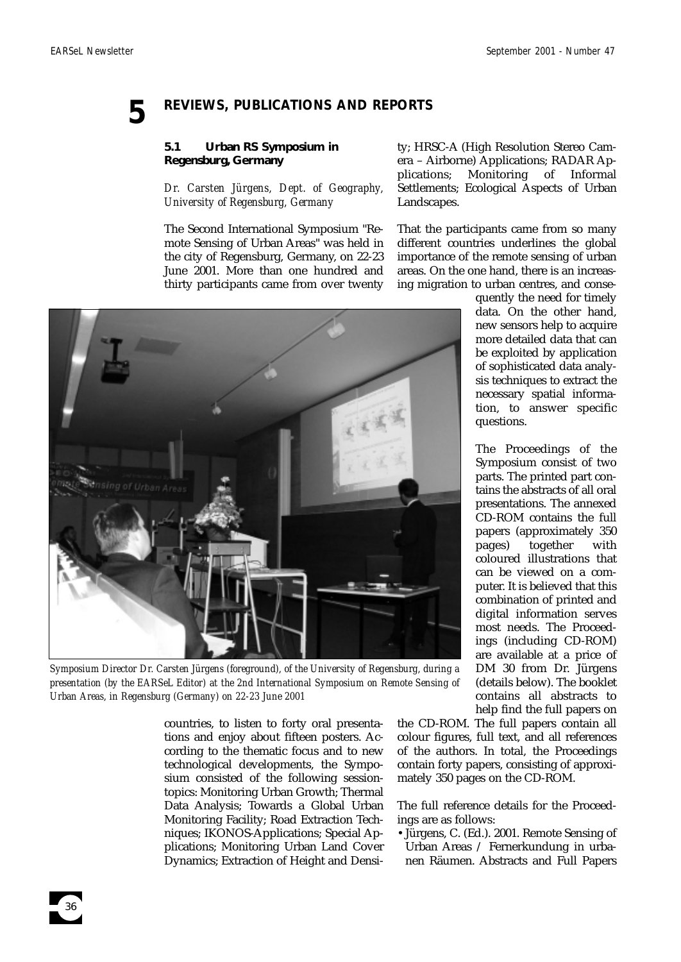# **5 REVIEWS, PUBLICATIONS AND REPORTS**

# **5.1 Urban RS Symposium in Regensburg, Germany**

*Dr. Carsten Jürgens, Dept. of Geography, University of Regensburg, Germany*

The Second International Symposium "Remote Sensing of Urban Areas" was held in the city of Regensburg, Germany, on 22-23 June 2001. More than one hundred and thirty participants came from over twenty ty; HRSC-A (High Resolution Stereo Camera – Airborne) Applications; RADAR Applications; Monitoring of Informal Settlements; Ecological Aspects of Urban Landscapes.

That the participants came from so many different countries underlines the global importance of the remote sensing of urban areas. On the one hand, there is an increasing migration to urban centres, and conse-



*Symposium Director Dr. Carsten Jürgens (foreground), of the University of Regensburg, during a presentation (by the EARSeL Editor) at the 2nd International Symposium on Remote Sensing of Urban Areas, in Regensburg (Germany) on 22-23 June 2001* 

countries, to listen to forty oral presentations and enjoy about fifteen posters. According to the thematic focus and to new technological developments, the Symposium consisted of the following sessiontopics: Monitoring Urban Growth; Thermal Data Analysis; Towards a Global Urban Monitoring Facility; Road Extraction Techniques; IKONOS-Applications; Special Applications; Monitoring Urban Land Cover Dynamics; Extraction of Height and Densiquently the need for timely data. On the other hand, new sensors help to acquire more detailed data that can be exploited by application of sophisticated data analysis techniques to extract the necessary spatial information, to answer specific questions.

The Proceedings of the Symposium consist of two parts. The printed part contains the abstracts of all oral presentations. The annexed CD-ROM contains the full papers (approximately 350 pages) together with coloured illustrations that can be viewed on a computer. It is believed that this combination of printed and digital information serves most needs. The Proceedings (including CD-ROM) are available at a price of DM 30 from Dr. Jürgens (details below). The booklet contains all abstracts to help find the full papers on

the CD-ROM. The full papers contain all colour figures, full text, and all references of the authors. In total, the Proceedings contain forty papers, consisting of approximately 350 pages on the CD-ROM.

The full reference details for the Proceedings are as follows:

•Jürgens, C. (Ed.). 2001. Remote Sensing of Urban Areas / Fernerkundung in urbanen Räumen. Abstracts and Full Papers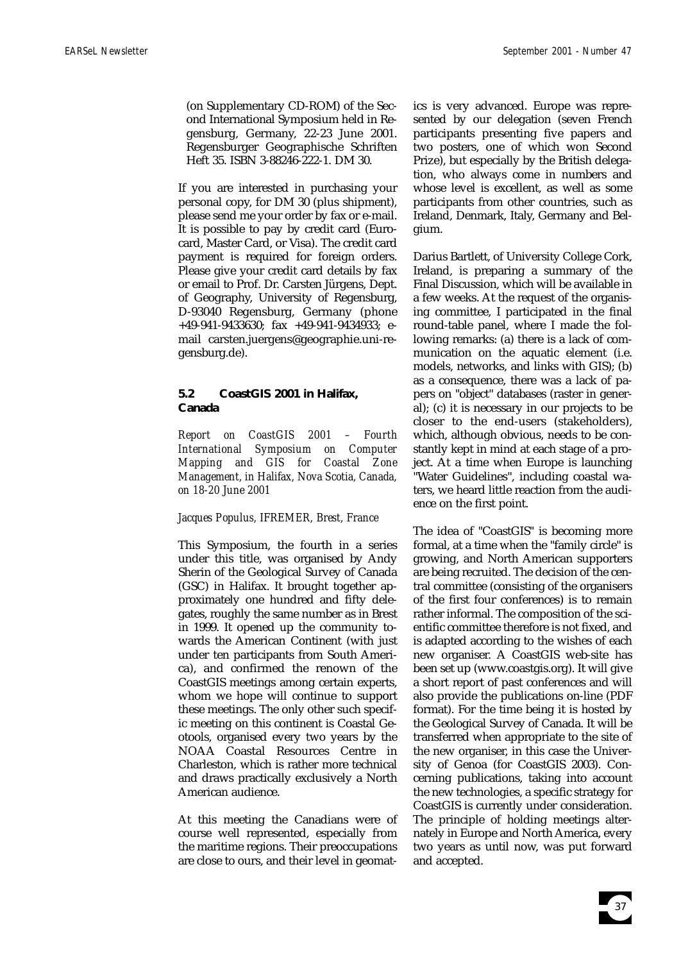(on Supplementary CD-ROM) of the Second International Symposium held in Regensburg, Germany, 22-23 June 2001. Regensburger Geographische Schriften Heft 35. ISBN 3-88246-222-1. DM 30.

If you are interested in purchasing your personal copy, for DM 30 (plus shipment), please send me your order by fax or e-mail. It is possible to pay by credit card (Eurocard, Master Card, or Visa). The credit card payment is required for foreign orders. Please give your credit card details by fax or email to Prof. Dr. Carsten Jürgens, Dept. of Geography, University of Regensburg, D-93040 Regensburg, Germany (phone +49-941-9433630; fax +49-941-9434933; email carsten.juergens@geographie.uni-regensburg.de).

# **5.2 CoastGIS 2001 in Halifax, Canada**

*Report on CoastGIS 2001 – Fourth International Symposium on Computer Mapping and GIS for Coastal Zone Management, in Halifax, Nova Scotia, Canada, on 18-20 June 2001* 

# *Jacques Populus, IFREMER, Brest, France*

This Symposium, the fourth in a series under this title, was organised by Andy Sherin of the Geological Survey of Canada (GSC) in Halifax. It brought together approximately one hundred and fifty delegates, roughly the same number as in Brest in 1999. It opened up the community towards the American Continent (with just under ten participants from South America), and confirmed the renown of the CoastGIS meetings among certain experts, whom we hope will continue to support these meetings. The only other such specific meeting on this continent is Coastal Geotools, organised every two years by the NOAA Coastal Resources Centre in Charleston, which is rather more technical and draws practically exclusively a North American audience.

At this meeting the Canadians were of course well represented, especially from the maritime regions. Their preoccupations are close to ours, and their level in geomatics is very advanced. Europe was represented by our delegation (seven French participants presenting five papers and two posters, one of which won Second Prize), but especially by the British delegation, who always come in numbers and whose level is excellent, as well as some participants from other countries, such as Ireland, Denmark, Italy, Germany and Belgium.

Darius Bartlett, of University College Cork, Ireland, is preparing a summary of the Final Discussion, which will be available in a few weeks. At the request of the organising committee, I participated in the final round-table panel, where I made the following remarks: (a) there is a lack of communication on the aquatic element (i.e. models, networks, and links with GIS); (b) as a consequence, there was a lack of papers on "object" databases (raster in general); (c) it is necessary in our projects to be closer to the end-users (stakeholders), which, although obvious, needs to be constantly kept in mind at each stage of a project. At a time when Europe is launching "Water Guidelines", including coastal waters, we heard little reaction from the audience on the first point.

The idea of "CoastGIS" is becoming more formal, at a time when the "family circle" is growing, and North American supporters are being recruited. The decision of the central committee (consisting of the organisers of the first four conferences) is to remain rather informal. The composition of the scientific committee therefore is not fixed, and is adapted according to the wishes of each new organiser. A CoastGIS web-site has been set up (www.coastgis.org). It will give a short report of past conferences and will also provide the publications on-line (PDF format). For the time being it is hosted by the Geological Survey of Canada. It will be transferred when appropriate to the site of the new organiser, in this case the University of Genoa (for CoastGIS 2003). Concerning publications, taking into account the new technologies, a specific strategy for CoastGIS is currently under consideration. The principle of holding meetings alternately in Europe and North America, every two years as until now, was put forward and accepted.

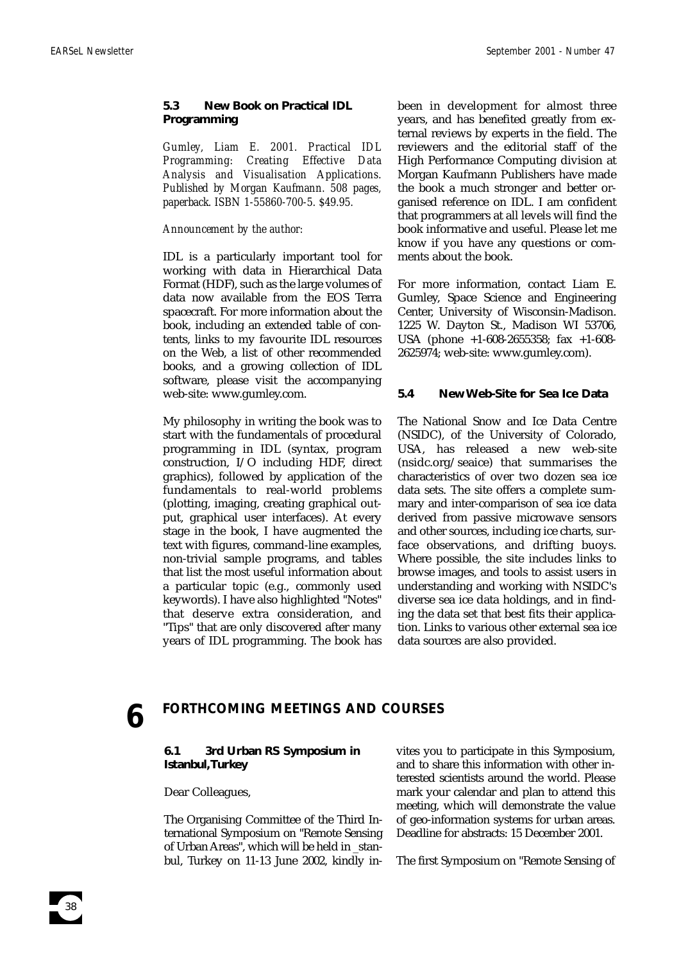# **5.3 New Book on Practical IDL Programming**

*Gumley, Liam E. 2001. Practical IDL Programming: Creating Effective Data Analysis and Visualisation Applications. Published by Morgan Kaufmann. 508 pages, paperback. ISBN 1-55860-700-5. \$49.95.*

### *Announcement by the author:*

IDL is a particularly important tool for working with data in Hierarchical Data Format (HDF), such as the large volumes of data now available from the EOS Terra spacecraft. For more information about the book, including an extended table of contents, links to my favourite IDL resources on the Web, a list of other recommended books, and a growing collection of IDL software, please visit the accompanying web-site: www.gumley.com.

My philosophy in writing the book was to start with the fundamentals of procedural programming in IDL (syntax, program construction, I/O including HDF, direct graphics), followed by application of the fundamentals to real-world problems (plotting, imaging, creating graphical output, graphical user interfaces). At every stage in the book, I have augmented the text with figures, command-line examples, non-trivial sample programs, and tables that list the most useful information about a particular topic (e.g., commonly used keywords). I have also highlighted "Notes" that deserve extra consideration, and "Tips" that are only discovered after many years of IDL programming. The book has been in development for almost three years, and has benefited greatly from external reviews by experts in the field. The reviewers and the editorial staff of the High Performance Computing division at Morgan Kaufmann Publishers have made the book a much stronger and better organised reference on IDL. I am confident that programmers at all levels will find the book informative and useful. Please let me know if you have any questions or comments about the book.

For more information, contact Liam E. Gumley, Space Science and Engineering Center, University of Wisconsin-Madison. 1225 W. Dayton St., Madison WI 53706, USA (phone +1-608-2655358; fax +1-608- 2625974; web-site: www.gumley.com).

# **5.4 New Web-Site for Sea Ice Data**

The National Snow and Ice Data Centre (NSIDC), of the University of Colorado, USA, has released a new web-site (nsidc.org/seaice) that summarises the characteristics of over two dozen sea ice data sets. The site offers a complete summary and inter-comparison of sea ice data derived from passive microwave sensors and other sources, including ice charts, surface observations, and drifting buoys. Where possible, the site includes links to browse images, and tools to assist users in understanding and working with NSIDC's diverse sea ice data holdings, and in finding the data set that best fits their application. Links to various other external sea ice data sources are also provided.

38

# **6 FORTHCOMING MEETINGS AND COURSES**

# **6.1 3rd Urban RS Symposium in Istanbul,Turkey**

#### Dear Colleagues,

The Organising Committee of the Third International Symposium on "Remote Sensing of Urban Areas", which will be held in \_stanbul, Turkey on 11-13 June 2002, kindly invites you to participate in this Symposium, and to share this information with other interested scientists around the world. Please mark your calendar and plan to attend this meeting, which will demonstrate the value of geo-information systems for urban areas. Deadline for abstracts: 15 December 2001.

The first Symposium on "Remote Sensing of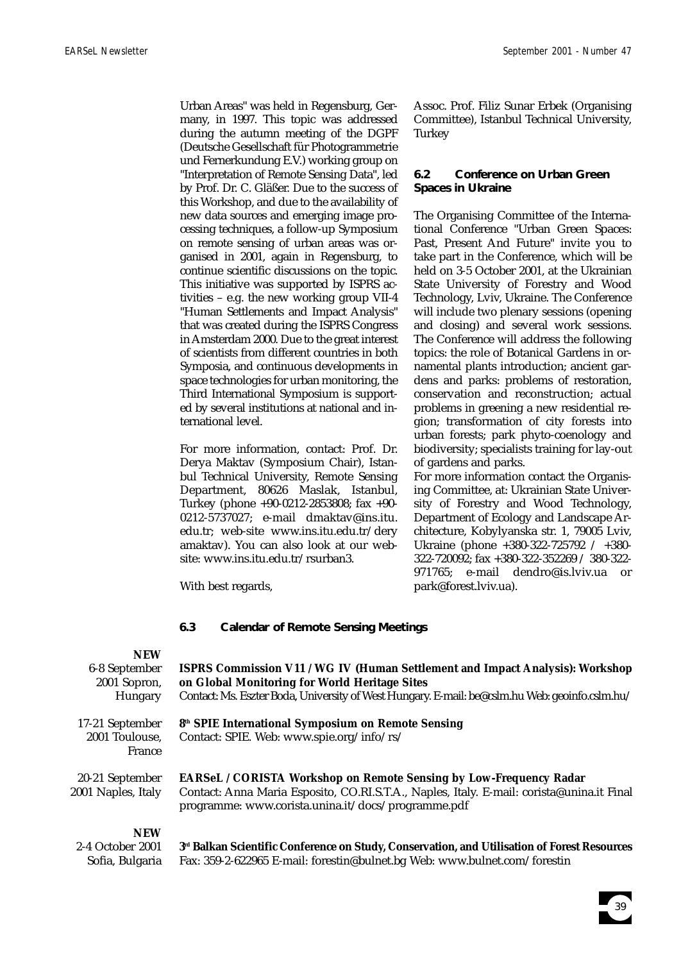Urban Areas" was held in Regensburg, Germany, in 1997. This topic was addressed during the autumn meeting of the DGPF (Deutsche Gesellschaft für Photogrammetrie und Fernerkundung E.V.) working group on "Interpretation of Remote Sensing Data", led by Prof. Dr. C. Gläßer. Due to the success of this Workshop, and due to the availability of new data sources and emerging image processing techniques, a follow-up Symposium on remote sensing of urban areas was organised in 2001, again in Regensburg, to continue scientific discussions on the topic. This initiative was supported by ISPRS activities – e.g. the new working group VII-4 "Human Settlements and Impact Analysis" that was created during the ISPRS Congress in Amsterdam 2000. Due to the great interest of scientists from different countries in both Symposia, and continuous developments in space technologies for urban monitoring, the Third International Symposium is supported by several institutions at national and international level.

For more information, contact: Prof. Dr. Derya Maktav (Symposium Chair), Istanbul Technical University, Remote Sensing Department, 80626 Maslak, Istanbul, Turkey (phone +90-0212-2853808; fax +90- 0212-5737027; e-mail dmaktav@ins.itu. edu.tr; web-site www.ins.itu.edu.tr/dery amaktav). You can also look at our website: www.ins.itu.edu.tr/rsurban3.

Assoc. Prof. Filiz Sunar Erbek (Organising Committee), Istanbul Technical University, **Turkey** 

# **6.2 Conference on Urban Green Spaces in Ukraine**

The Organising Committee of the International Conference "Urban Green Spaces: Past, Present And Future" invite you to take part in the Conference, which will be held on 3-5 October 2001, at the Ukrainian State University of Forestry and Wood Technology, Lviv, Ukraine. The Conference will include two plenary sessions (opening and closing) and several work sessions. The Conference will address the following topics: the role of Botanical Gardens in ornamental plants introduction; ancient gardens and parks: problems of restoration, conservation and reconstruction; actual problems in greening a new residential region; transformation of city forests into urban forests; park phyto-coenology and biodiversity; specialists training for lay-out of gardens and parks.

For more information contact the Organising Committee, at: Ukrainian State University of Forestry and Wood Technology, Department of Ecology and Landscape Architecture, Kobylyanska str. 1, 79005 Lviv, Ukraine (phone +380-322-725792 / +380- 322-720092; fax +380-322-352269 / 380-322- 971765; e-mail dendro@is.lviv.ua or park@forest.lviv.ua).

With best regards,

# **6.3 Calendar of Remote Sensing Meetings**

# **NEW**

| 1 <b>1 1 1 V V</b><br>6-8 September<br>2001 Sopron,<br>Hungary | <b>ISPRS Commission V11 / WG IV (Human Settlement and Impact Analysis): Workshop</b><br>on Global Monitoring for World Heritage Sites<br>Contact: Ms. Eszter Boda, University of West Hungary. E-mail: be@cslm.hu Web: geoinfo.cslm.hu/ |
|----------------------------------------------------------------|-----------------------------------------------------------------------------------------------------------------------------------------------------------------------------------------------------------------------------------------|
| 17-21 September<br>2001 Toulouse,<br>France                    | 8 <sup>th</sup> SPIE International Symposium on Remote Sensing<br>Contact: SPIE. Web: www.spie.org/info/rs/                                                                                                                             |
| 20-21 September<br>2001 Naples, Italy                          | <b>EARSeL / CORISTA Workshop on Remote Sensing by Low-Frequency Radar</b><br>Contact: Anna Maria Esposito, CO.RI.S.T.A., Naples, Italy. E-mail: corista@unina.it Final<br>programme: www.corista.unina.it/docs/programme.pdf            |
| <b>NEW</b><br>2-4 October 2001                                 | 3 <sup>rd</sup> Balkan Scientific Conference on Study. Conservation, and Utilisation of Forest Resources                                                                                                                                |

Sofia, Bulgaria

**3rd Balkan Scientific Conference on Study, Conservation, and Utilisation of Forest Resources**  Fax: 359-2-622965 E-mail: forestin@bulnet.bg Web: www.bulnet.com/forestin